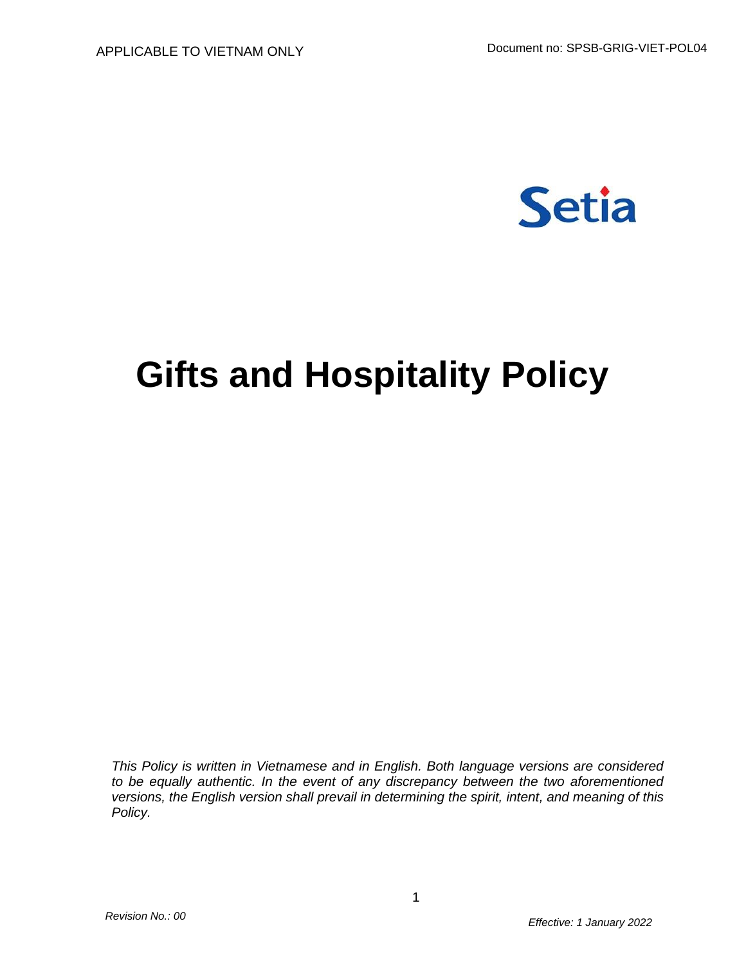

# **Gifts and Hospitality Policy**

*This Policy is written in Vietnamese and in English. Both language versions are considered to be equally authentic. In the event of any discrepancy between the two aforementioned versions, the English version shall prevail in determining the spirit, intent, and meaning of this Policy.*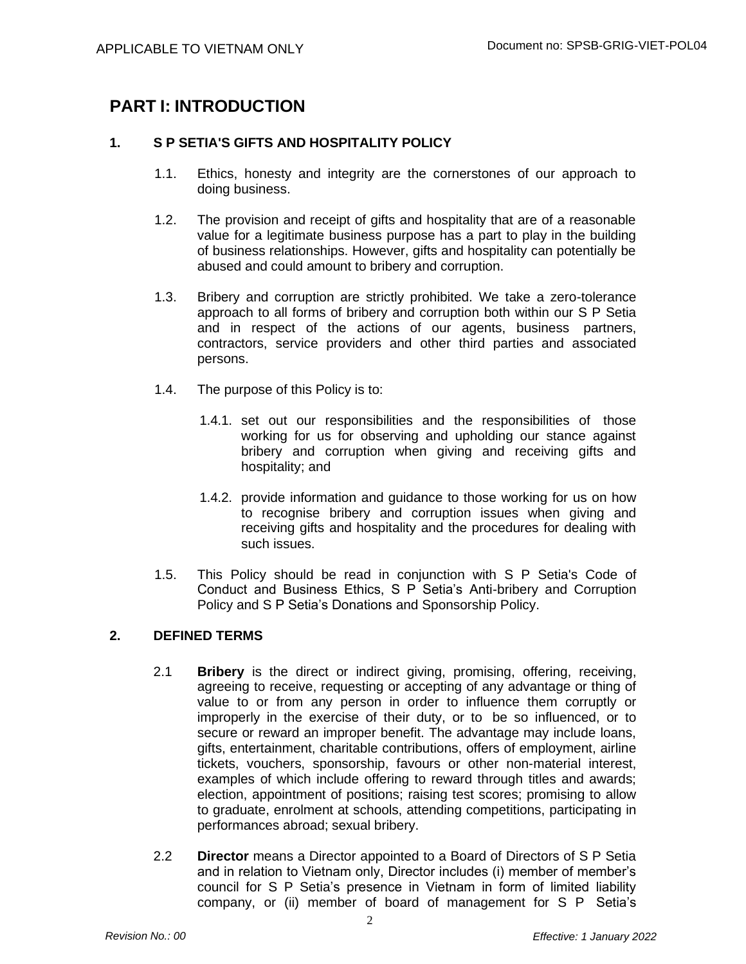## **PART I: INTRODUCTION**

## **1. S P SETIA'S GIFTS AND HOSPITALITY POLICY**

- 1.1. Ethics, honesty and integrity are the cornerstones of our approach to doing business.
- 1.2. The provision and receipt of gifts and hospitality that are of a reasonable value for a legitimate business purpose has a part to play in the building of business relationships. However, gifts and hospitality can potentially be abused and could amount to bribery and corruption.
- 1.3. Bribery and corruption are strictly prohibited. We take a zero-tolerance approach to all forms of bribery and corruption both within our S P Setia and in respect of the actions of our agents, business partners, contractors, service providers and other third parties and associated persons.
- 1.4. The purpose of this Policy is to:
	- 1.4.1. set out our responsibilities and the responsibilities of those working for us for observing and upholding our stance against bribery and corruption when giving and receiving gifts and hospitality; and
	- 1.4.2. provide information and guidance to those working for us on how to recognise bribery and corruption issues when giving and receiving gifts and hospitality and the procedures for dealing with such issues.
- 1.5. This Policy should be read in conjunction with S P Setia's Code of Conduct and Business Ethics, S P Setia's Anti-bribery and Corruption Policy and S P Setia's Donations and Sponsorship Policy.

## **2. DEFINED TERMS**

- 2.1 **Bribery** is the direct or indirect giving, promising, offering, receiving, agreeing to receive, requesting or accepting of any advantage or thing of value to or from any person in order to influence them corruptly or improperly in the exercise of their duty, or to be so influenced, or to secure or reward an improper benefit. The advantage may include loans, gifts, entertainment, charitable contributions, offers of employment, airline tickets, vouchers, sponsorship, favours or other non-material interest, examples of which include offering to reward through titles and awards; election, appointment of positions; raising test scores; promising to allow to graduate, enrolment at schools, attending competitions, participating in performances abroad; sexual bribery.
- 2.2 **Director** means a Director appointed to a Board of Directors of S P Setia and in relation to Vietnam only, Director includes (i) member of member's council for S P Setia's presence in Vietnam in form of limited liability company, or (ii) member of board of management for S P Setia's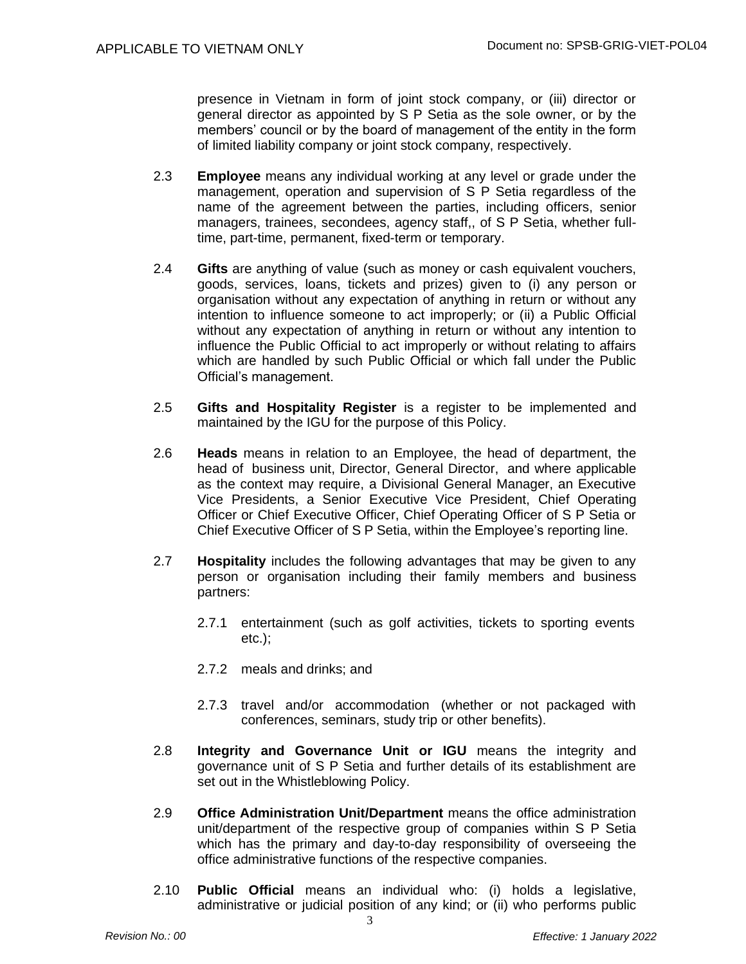presence in Vietnam in form of joint stock company, or (iii) director or general director as appointed by S P Setia as the sole owner, or by the members' council or by the board of management of the entity in the form of limited liability company or joint stock company, respectively.

- 2.3 **Employee** means any individual working at any level or grade under the management, operation and supervision of S P Setia regardless of the name of the agreement between the parties, including officers, senior managers, trainees, secondees, agency staff,, of S P Setia, whether fulltime, part-time, permanent, fixed-term or temporary.
- 2.4 **Gifts** are anything of value (such as money or cash equivalent vouchers, goods, services, loans, tickets and prizes) given to (i) any person or organisation without any expectation of anything in return or without any intention to influence someone to act improperly; or (ii) a Public Official without any expectation of anything in return or without any intention to influence the Public Official to act improperly or without relating to affairs which are handled by such Public Official or which fall under the Public Official's management.
- 2.5 **Gifts and Hospitality Register** is a register to be implemented and maintained by the IGU for the purpose of this Policy.
- 2.6 **Heads** means in relation to an Employee, the head of department, the head of business unit, Director, General Director, and where applicable as the context may require, a Divisional General Manager, an Executive Vice Presidents, a Senior Executive Vice President, Chief Operating Officer or Chief Executive Officer, Chief Operating Officer of S P Setia or Chief Executive Officer of S P Setia, within the Employee's reporting line.
- 2.7 **Hospitality** includes the following advantages that may be given to any person or organisation including their family members and business partners:
	- 2.7.1 entertainment (such as golf activities, tickets to sporting events etc.);
	- 2.7.2 meals and drinks; and
	- 2.7.3 travel and/or accommodation (whether or not packaged with conferences, seminars, study trip or other benefits).
- 2.8 **Integrity and Governance Unit or IGU** means the integrity and governance unit of S P Setia and further details of its establishment are set out in the Whistleblowing Policy.
- 2.9 **Office Administration Unit/Department** means the office administration unit/department of the respective group of companies within S P Setia which has the primary and day-to-day responsibility of overseeing the office administrative functions of the respective companies.
- 2.10 **Public Official** means an individual who: (i) holds a legislative, administrative or judicial position of any kind; or (ii) who performs public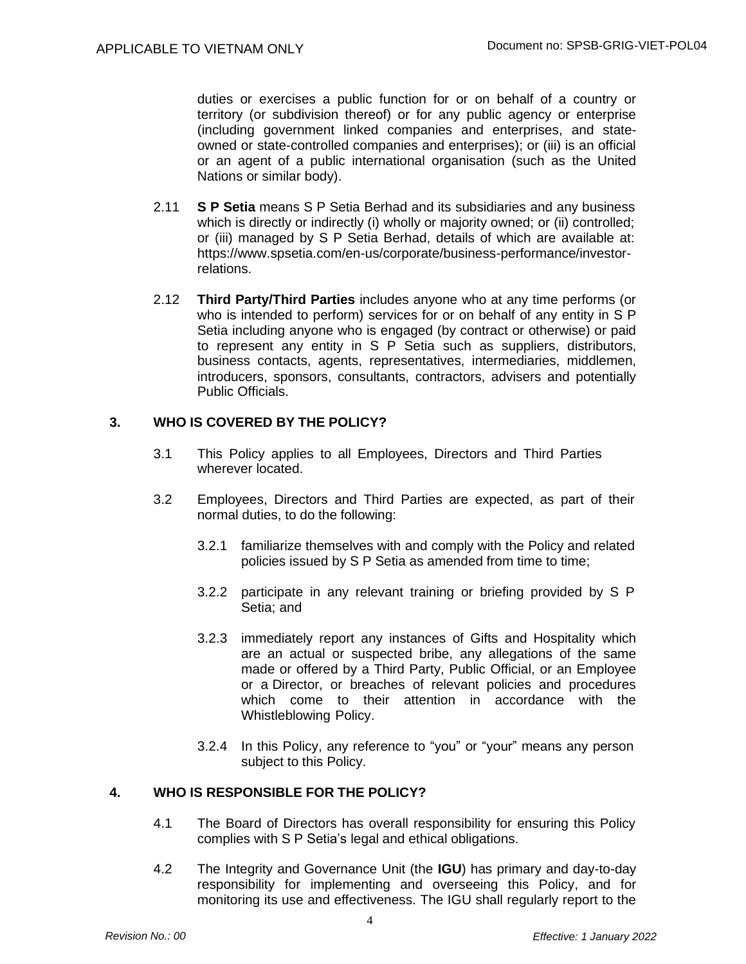duties or exercises a public function for or on behalf of a country or territory (or subdivision thereof) or for any public agency or enterprise (including government linked companies and enterprises, and stateowned or state-controlled companies and enterprises); or (iii) is an official or an agent of a public international organisation (such as the United Nations or similar body).

- 2.11 **S P Setia** means S P Setia Berhad and its subsidiaries and any business which is directly or indirectly (i) wholly or majority owned; or (ii) controlled; or (iii) managed by S P Setia Berhad, details of which are available at: https:/[/www.spsetia.com/en-us/corporate/business-performance/investor](http://www.spsetia.com/en-us/corporate/business-performance/investor-)relations.
- 2.12 **Third Party/Third Parties** includes anyone who at any time performs (or who is intended to perform) services for or on behalf of any entity in S P Setia including anyone who is engaged (by contract or otherwise) or paid to represent any entity in S P Setia such as suppliers, distributors, business contacts, agents, representatives, intermediaries, middlemen, introducers, sponsors, consultants, contractors, advisers and potentially Public Officials.

#### **3. WHO IS COVERED BY THE POLICY?**

- 3.1 This Policy applies to all Employees, Directors and Third Parties wherever located.
- 3.2 Employees, Directors and Third Parties are expected, as part of their normal duties, to do the following:
	- 3.2.1 familiarize themselves with and comply with the Policy and related policies issued by S P Setia as amended from time to time;
	- 3.2.2 participate in any relevant training or briefing provided by S P Setia; and
	- 3.2.3 immediately report any instances of Gifts and Hospitality which are an actual or suspected bribe, any allegations of the same made or offered by a Third Party, Public Official, or an Employee or a Director, or breaches of relevant policies and procedures which come to their attention in accordance with the Whistleblowing Policy.
	- 3.2.4 In this Policy, any reference to "you" or "your" means any person subject to this Policy.

## **4. WHO IS RESPONSIBLE FOR THE POLICY?**

- 4.1 The Board of Directors has overall responsibility for ensuring this Policy complies with S P Setia's legal and ethical obligations.
- 4.2 The Integrity and Governance Unit (the **IGU**) has primary and day-to-day responsibility for implementing and overseeing this Policy, and for monitoring its use and effectiveness. The IGU shall regularly report to the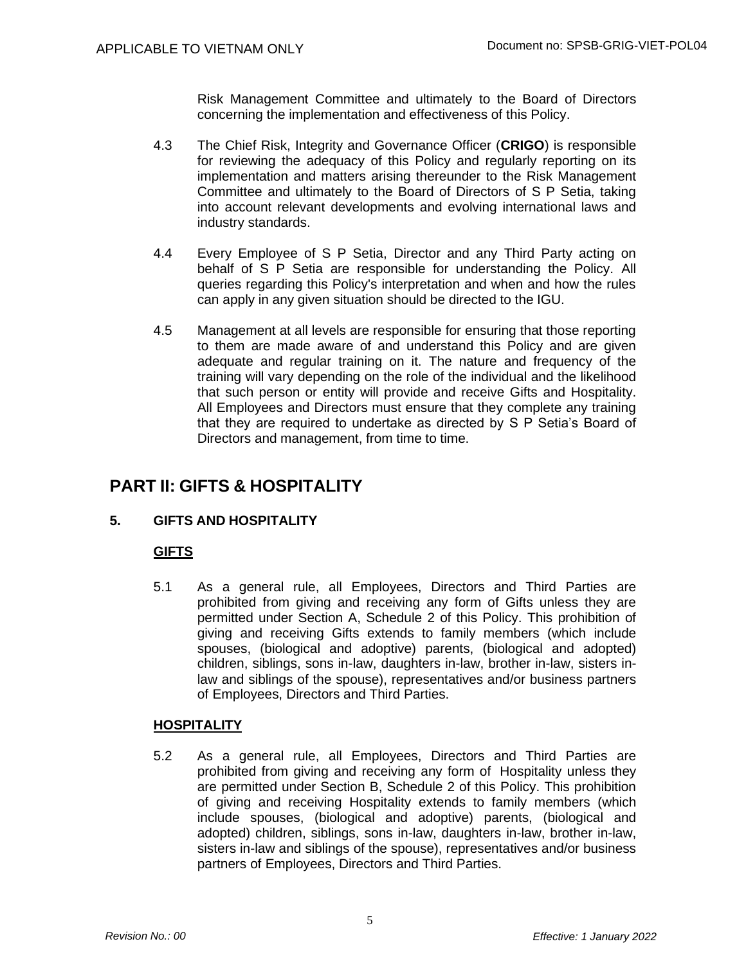Risk Management Committee and ultimately to the Board of Directors concerning the implementation and effectiveness of this Policy.

- 4.3 The Chief Risk, Integrity and Governance Officer (**CRIGO**) is responsible for reviewing the adequacy of this Policy and regularly reporting on its implementation and matters arising thereunder to the Risk Management Committee and ultimately to the Board of Directors of S P Setia, taking into account relevant developments and evolving international laws and industry standards.
- 4.4 Every Employee of S P Setia, Director and any Third Party acting on behalf of S P Setia are responsible for understanding the Policy. All queries regarding this Policy's interpretation and when and how the rules can apply in any given situation should be directed to the IGU.
- 4.5 Management at all levels are responsible for ensuring that those reporting to them are made aware of and understand this Policy and are given adequate and regular training on it. The nature and frequency of the training will vary depending on the role of the individual and the likelihood that such person or entity will provide and receive Gifts and Hospitality. All Employees and Directors must ensure that they complete any training that they are required to undertake as directed by S P Setia's Board of Directors and management, from time to time.

## **PART II: GIFTS & HOSPITALITY**

## **5. GIFTS AND HOSPITALITY**

## **GIFTS**

5.1 As a general rule, all Employees, Directors and Third Parties are prohibited from giving and receiving any form of Gifts unless they are permitted under Section A, Schedule 2 of this Policy. This prohibition of giving and receiving Gifts extends to family members (which include spouses, (biological and adoptive) parents, (biological and adopted) children, siblings, sons in-law, daughters in-law, brother in-law, sisters inlaw and siblings of the spouse), representatives and/or business partners of Employees, Directors and Third Parties.

## **HOSPITALITY**

5.2 As a general rule, all Employees, Directors and Third Parties are prohibited from giving and receiving any form of Hospitality unless they are permitted under Section B, Schedule 2 of this Policy. This prohibition of giving and receiving Hospitality extends to family members (which include spouses, (biological and adoptive) parents, (biological and adopted) children, siblings, sons in-law, daughters in-law, brother in-law, sisters in-law and siblings of the spouse), representatives and/or business partners of Employees, Directors and Third Parties.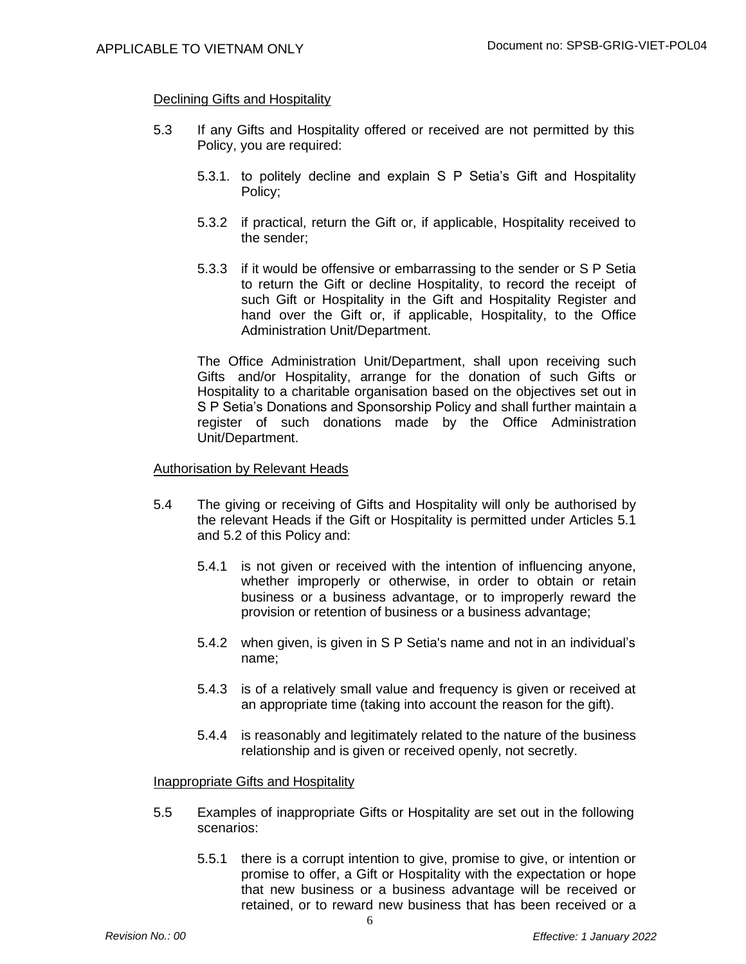#### Declining Gifts and Hospitality

- 5.3 If any Gifts and Hospitality offered or received are not permitted by this Policy, you are required:
	- 5.3.1. to politely decline and explain S P Setia's Gift and Hospitality Policy;
	- 5.3.2 if practical, return the Gift or, if applicable, Hospitality received to the sender;
	- 5.3.3 if it would be offensive or embarrassing to the sender or S P Setia to return the Gift or decline Hospitality, to record the receipt of such Gift or Hospitality in the Gift and Hospitality Register and hand over the Gift or, if applicable, Hospitality, to the Office Administration Unit/Department.

The Office Administration Unit/Department, shall upon receiving such Gifts and/or Hospitality, arrange for the donation of such Gifts or Hospitality to a charitable organisation based on the objectives set out in S P Setia's Donations and Sponsorship Policy and shall further maintain a register of such donations made by the Office Administration Unit/Department.

#### Authorisation by Relevant Heads

- 5.4 The giving or receiving of Gifts and Hospitality will only be authorised by the relevant Heads if the Gift or Hospitality is permitted under Articles 5.1 and 5.2 of this Policy and:
	- 5.4.1 is not given or received with the intention of influencing anyone, whether improperly or otherwise, in order to obtain or retain business or a business advantage, or to improperly reward the provision or retention of business or a business advantage;
	- 5.4.2 when given, is given in S P Setia's name and not in an individual's name;
	- 5.4.3 is of a relatively small value and frequency is given or received at an appropriate time (taking into account the reason for the gift).
	- 5.4.4 is reasonably and legitimately related to the nature of the business relationship and is given or received openly, not secretly.

#### Inappropriate Gifts and Hospitality

- 5.5 Examples of inappropriate Gifts or Hospitality are set out in the following scenarios:
	- 5.5.1 there is a corrupt intention to give, promise to give, or intention or promise to offer, a Gift or Hospitality with the expectation or hope that new business or a business advantage will be received or retained, or to reward new business that has been received or a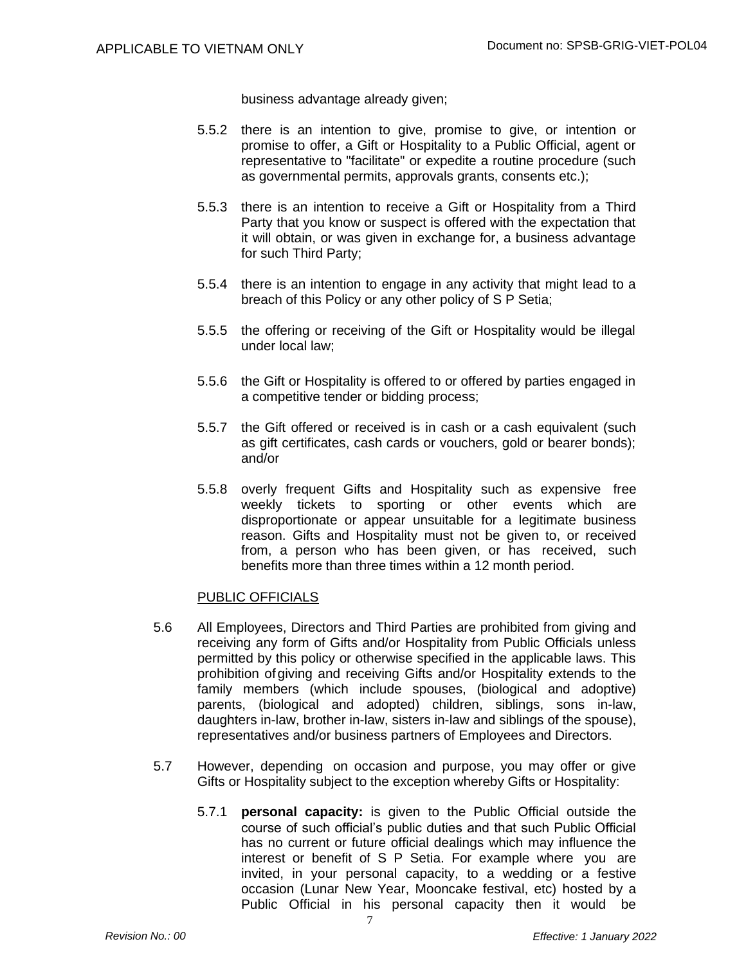business advantage already given;

- 5.5.2 there is an intention to give, promise to give, or intention or promise to offer, a Gift or Hospitality to a Public Official, agent or representative to "facilitate" or expedite a routine procedure (such as governmental permits, approvals grants, consents etc.);
- 5.5.3 there is an intention to receive a Gift or Hospitality from a Third Party that you know or suspect is offered with the expectation that it will obtain, or was given in exchange for, a business advantage for such Third Party;
- 5.5.4 there is an intention to engage in any activity that might lead to a breach of this Policy or any other policy of S P Setia;
- 5.5.5 the offering or receiving of the Gift or Hospitality would be illegal under local law;
- 5.5.6 the Gift or Hospitality is offered to or offered by parties engaged in a competitive tender or bidding process;
- 5.5.7 the Gift offered or received is in cash or a cash equivalent (such as gift certificates, cash cards or vouchers, gold or bearer bonds); and/or
- 5.5.8 overly frequent Gifts and Hospitality such as expensive free weekly tickets to sporting or other events which are disproportionate or appear unsuitable for a legitimate business reason. Gifts and Hospitality must not be given to, or received from, a person who has been given, or has received, such benefits more than three times within a 12 month period.

#### PUBLIC OFFICIALS

- 5.6 All Employees, Directors and Third Parties are prohibited from giving and receiving any form of Gifts and/or Hospitality from Public Officials unless permitted by this policy or otherwise specified in the applicable laws. This prohibition ofgiving and receiving Gifts and/or Hospitality extends to the family members (which include spouses, (biological and adoptive) parents, (biological and adopted) children, siblings, sons in-law, daughters in-law, brother in-law, sisters in-law and siblings of the spouse), representatives and/or business partners of Employees and Directors.
- 5.7 However, depending on occasion and purpose, you may offer or give Gifts or Hospitality subject to the exception whereby Gifts or Hospitality:

7

5.7.1 **personal capacity:** is given to the Public Official outside the course of such official's public duties and that such Public Official has no current or future official dealings which may influence the interest or benefit of S P Setia. For example where you are invited, in your personal capacity, to a wedding or a festive occasion (Lunar New Year, Mooncake festival, etc) hosted by a Public Official in his personal capacity then it would be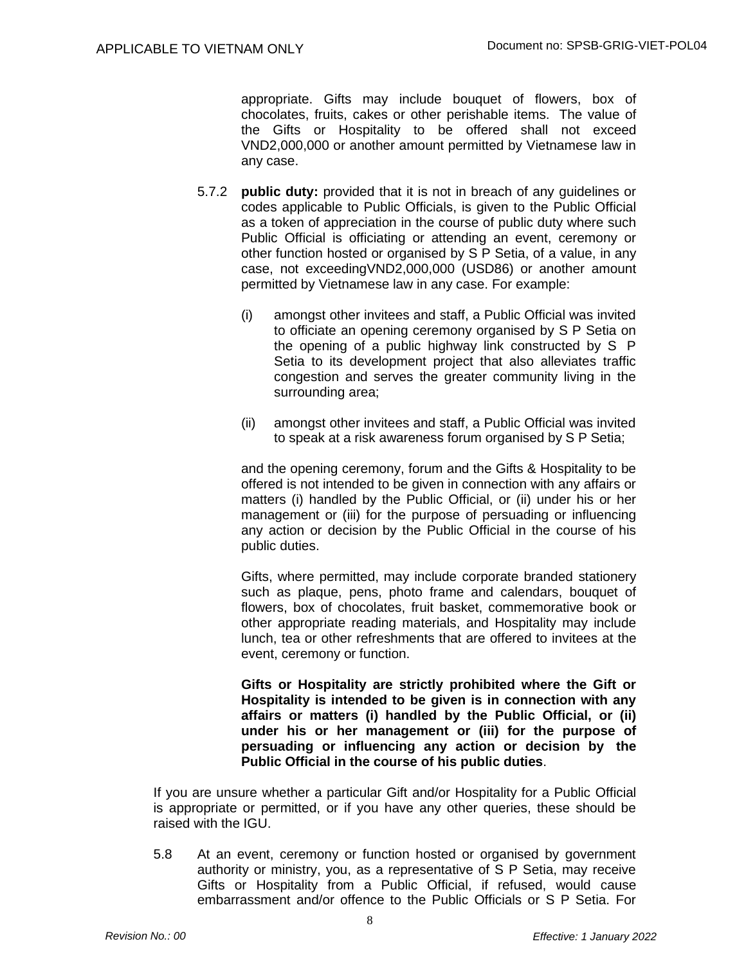appropriate. Gifts may include bouquet of flowers, box of chocolates, fruits, cakes or other perishable items. The value of the Gifts or Hospitality to be offered shall not exceed VND2,000,000 or another amount permitted by Vietnamese law in any case.

- 5.7.2 **public duty:** provided that it is not in breach of any guidelines or codes applicable to Public Officials, is given to the Public Official as a token of appreciation in the course of public duty where such Public Official is officiating or attending an event, ceremony or other function hosted or organised by S P Setia, of a value, in any case, not exceedingVND2,000,000 (USD86) or another amount permitted by Vietnamese law in any case. For example:
	- (i) amongst other invitees and staff, a Public Official was invited to officiate an opening ceremony organised by S P Setia on the opening of a public highway link constructed by S P Setia to its development project that also alleviates traffic congestion and serves the greater community living in the surrounding area;
	- (ii) amongst other invitees and staff, a Public Official was invited to speak at a risk awareness forum organised by S P Setia;

and the opening ceremony, forum and the Gifts & Hospitality to be offered is not intended to be given in connection with any affairs or matters (i) handled by the Public Official, or (ii) under his or her management or (iii) for the purpose of persuading or influencing any action or decision by the Public Official in the course of his public duties.

Gifts, where permitted, may include corporate branded stationery such as plaque, pens, photo frame and calendars, bouquet of flowers, box of chocolates, fruit basket, commemorative book or other appropriate reading materials, and Hospitality may include lunch, tea or other refreshments that are offered to invitees at the event, ceremony or function.

**Gifts or Hospitality are strictly prohibited where the Gift or Hospitality is intended to be given is in connection with any affairs or matters (i) handled by the Public Official, or (ii) under his or her management or (iii) for the purpose of persuading or influencing any action or decision by the Public Official in the course of his public duties**.

If you are unsure whether a particular Gift and/or Hospitality for a Public Official is appropriate or permitted, or if you have any other queries, these should be raised with the IGU.

5.8 At an event, ceremony or function hosted or organised by government authority or ministry, you, as a representative of S P Setia, may receive Gifts or Hospitality from a Public Official, if refused, would cause embarrassment and/or offence to the Public Officials or S P Setia. For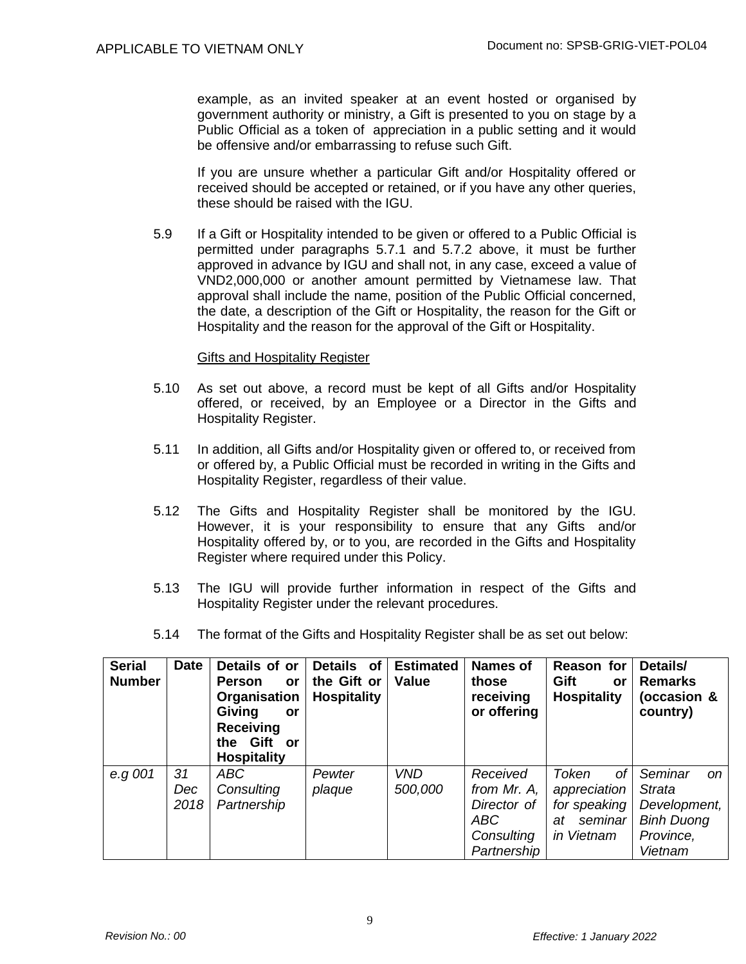example, as an invited speaker at an event hosted or organised by government authority or ministry, a Gift is presented to you on stage by a Public Official as a token of appreciation in a public setting and it would be offensive and/or embarrassing to refuse such Gift.

If you are unsure whether a particular Gift and/or Hospitality offered or received should be accepted or retained, or if you have any other queries, these should be raised with the IGU.

5.9 If a Gift or Hospitality intended to be given or offered to a Public Official is permitted under paragraphs 5.7.1 and 5.7.2 above, it must be further approved in advance by IGU and shall not, in any case, exceed a value of VND2,000,000 or another amount permitted by Vietnamese law. That approval shall include the name, position of the Public Official concerned, the date, a description of the Gift or Hospitality, the reason for the Gift or Hospitality and the reason for the approval of the Gift or Hospitality.

#### Gifts and Hospitality Register

- 5.10 As set out above, a record must be kept of all Gifts and/or Hospitality offered, or received, by an Employee or a Director in the Gifts and Hospitality Register.
- 5.11 In addition, all Gifts and/or Hospitality given or offered to, or received from or offered by, a Public Official must be recorded in writing in the Gifts and Hospitality Register, regardless of their value.
- 5.12 The Gifts and Hospitality Register shall be monitored by the IGU. However, it is your responsibility to ensure that any Gifts and/or Hospitality offered by, or to you, are recorded in the Gifts and Hospitality Register where required under this Policy.
- 5.13 The IGU will provide further information in respect of the Gifts and Hospitality Register under the relevant procedures.
- 5.14 The format of the Gifts and Hospitality Register shall be as set out below:

| <b>Serial</b><br><b>Number</b> | <b>Date</b>       | Details of or<br><b>Person</b><br>or<br>Organisation<br>Giving<br>or<br><b>Receiving</b><br>Gift or<br>the<br><b>Hospitality</b> | <b>Details</b><br>of<br>the Gift or<br><b>Hospitality</b> | <b>Estimated</b><br><b>Value</b> | <b>Names of</b><br>those<br>receiving<br>or offering                       | Reason for<br>Gift<br>or<br><b>Hospitality</b>                             | Details/<br><b>Remarks</b><br>(occasion &<br>country)                                           |
|--------------------------------|-------------------|----------------------------------------------------------------------------------------------------------------------------------|-----------------------------------------------------------|----------------------------------|----------------------------------------------------------------------------|----------------------------------------------------------------------------|-------------------------------------------------------------------------------------------------|
| e.g 001                        | 31<br>Dec<br>2018 | <b>ABC</b><br>Consulting<br>Partnership                                                                                          | Pewter<br>plaque                                          | <b>VND</b><br>500,000            | Received<br>from Mr. A,<br>Director of<br>ABC<br>Consulting<br>Partnership | Token<br>оf<br>appreciation<br>for speaking<br>seminar<br>at<br>in Vietnam | Seminar<br><sub>on</sub><br>Strata<br>Development,<br><b>Binh Duong</b><br>Province,<br>Vietnam |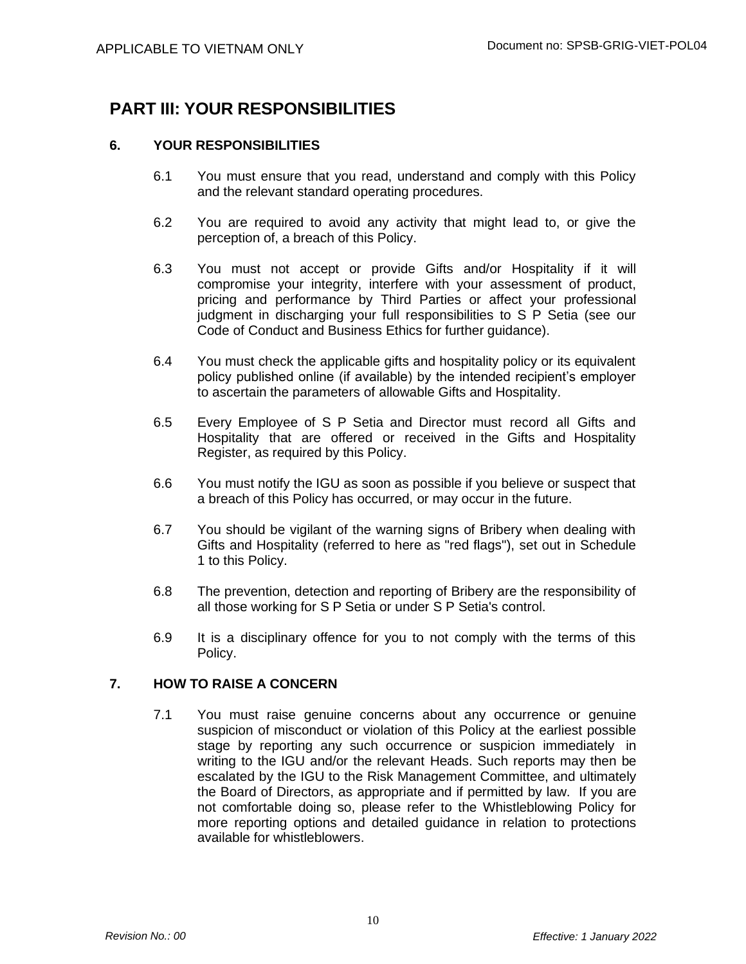## **PART III: YOUR RESPONSIBILITIES**

## **6. YOUR RESPONSIBILITIES**

- 6.1 You must ensure that you read, understand and comply with this Policy and the relevant standard operating procedures.
- 6.2 You are required to avoid any activity that might lead to, or give the perception of, a breach of this Policy.
- 6.3 You must not accept or provide Gifts and/or Hospitality if it will compromise your integrity, interfere with your assessment of product, pricing and performance by Third Parties or affect your professional judgment in discharging your full responsibilities to S P Setia (see our Code of Conduct and Business Ethics for further guidance).
- 6.4 You must check the applicable gifts and hospitality policy or its equivalent policy published online (if available) by the intended recipient's employer to ascertain the parameters of allowable Gifts and Hospitality.
- 6.5 Every Employee of S P Setia and Director must record all Gifts and Hospitality that are offered or received in the Gifts and Hospitality Register, as required by this Policy.
- 6.6 You must notify the IGU as soon as possible if you believe or suspect that a breach of this Policy has occurred, or may occur in the future.
- 6.7 You should be vigilant of the warning signs of Bribery when dealing with Gifts and Hospitality (referred to here as "red flags"), set out in Schedule 1 to this Policy.
- 6.8 The prevention, detection and reporting of Bribery are the responsibility of all those working for S P Setia or under S P Setia's control.
- 6.9 It is a disciplinary offence for you to not comply with the terms of this Policy.

## **7. HOW TO RAISE A CONCERN**

7.1 You must raise genuine concerns about any occurrence or genuine suspicion of misconduct or violation of this Policy at the earliest possible stage by reporting any such occurrence or suspicion immediately in writing to the IGU and/or the relevant Heads. Such reports may then be escalated by the IGU to the Risk Management Committee, and ultimately the Board of Directors, as appropriate and if permitted by law. If you are not comfortable doing so, please refer to the Whistleblowing Policy for more reporting options and detailed guidance in relation to protections available for whistleblowers.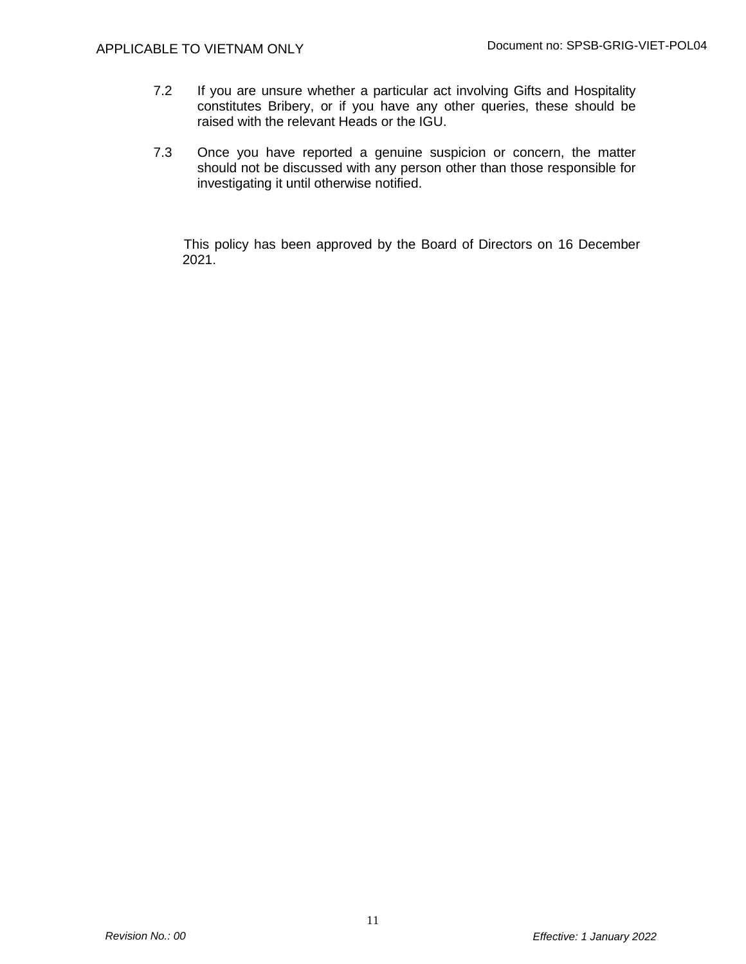- 7.2 If you are unsure whether a particular act involving Gifts and Hospitality constitutes Bribery, or if you have any other queries, these should be raised with the relevant Heads or the IGU.
- 7.3 Once you have reported a genuine suspicion or concern, the matter should not be discussed with any person other than those responsible for investigating it until otherwise notified.

This policy has been approved by the Board of Directors on 16 December 2021.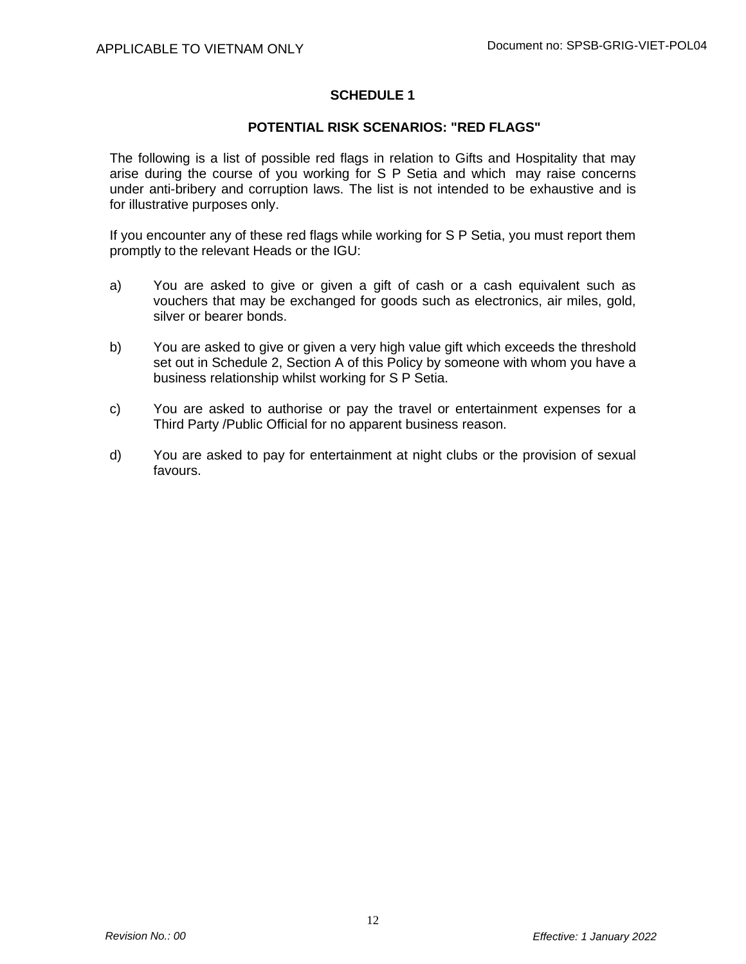### **SCHEDULE 1**

### **POTENTIAL RISK SCENARIOS: "RED FLAGS"**

The following is a list of possible red flags in relation to Gifts and Hospitality that may arise during the course of you working for S P Setia and which may raise concerns under anti-bribery and corruption laws. The list is not intended to be exhaustive and is for illustrative purposes only.

If you encounter any of these red flags while working for S P Setia, you must report them promptly to the relevant Heads or the IGU:

- a) You are asked to give or given a gift of cash or a cash equivalent such as vouchers that may be exchanged for goods such as electronics, air miles, gold, silver or bearer bonds.
- b) You are asked to give or given a very high value gift which exceeds the threshold set out in Schedule 2, Section A of this Policy by someone with whom you have a business relationship whilst working for S P Setia.
- c) You are asked to authorise or pay the travel or entertainment expenses for a Third Party /Public Official for no apparent business reason.
- d) You are asked to pay for entertainment at night clubs or the provision of sexual favours.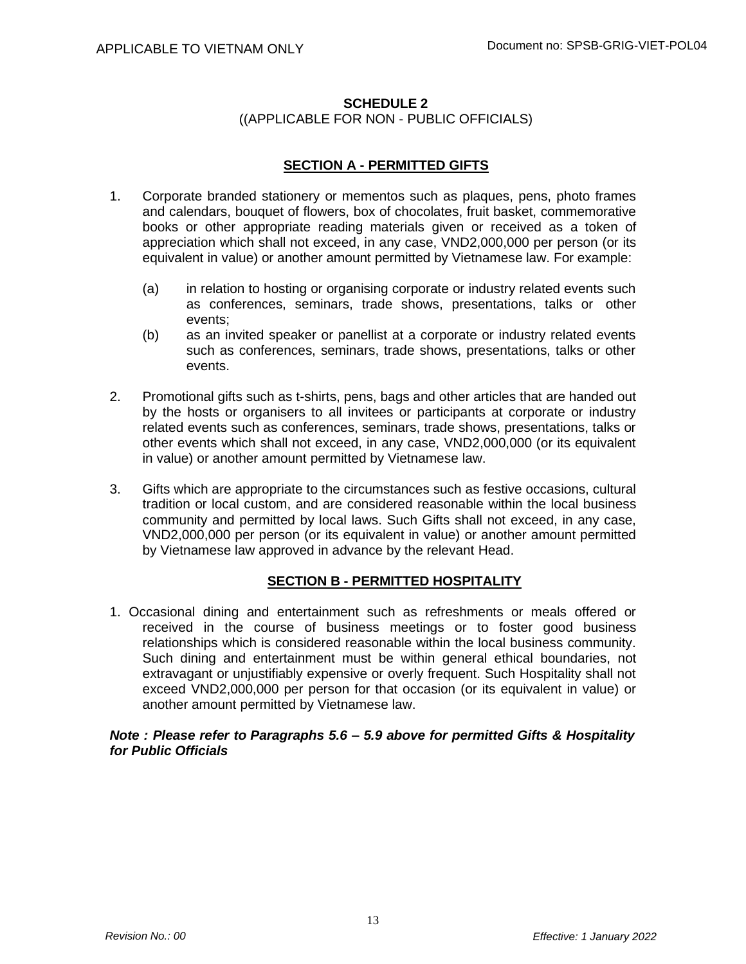### **SCHEDULE 2** ((APPLICABLE FOR NON - PUBLIC OFFICIALS)

## **SECTION A - PERMITTED GIFTS**

- 1. Corporate branded stationery or mementos such as plaques, pens, photo frames and calendars, bouquet of flowers, box of chocolates, fruit basket, commemorative books or other appropriate reading materials given or received as a token of appreciation which shall not exceed, in any case, VND2,000,000 per person (or its equivalent in value) or another amount permitted by Vietnamese law. For example:
	- (a) in relation to hosting or organising corporate or industry related events such as conferences, seminars, trade shows, presentations, talks or other events;
	- (b) as an invited speaker or panellist at a corporate or industry related events such as conferences, seminars, trade shows, presentations, talks or other events.
- 2. Promotional gifts such as t-shirts, pens, bags and other articles that are handed out by the hosts or organisers to all invitees or participants at corporate or industry related events such as conferences, seminars, trade shows, presentations, talks or other events which shall not exceed, in any case, VND2,000,000 (or its equivalent in value) or another amount permitted by Vietnamese law.
- 3. Gifts which are appropriate to the circumstances such as festive occasions, cultural tradition or local custom, and are considered reasonable within the local business community and permitted by local laws. Such Gifts shall not exceed, in any case, VND2,000,000 per person (or its equivalent in value) or another amount permitted by Vietnamese law approved in advance by the relevant Head.

## **SECTION B - PERMITTED HOSPITALITY**

1. Occasional dining and entertainment such as refreshments or meals offered or received in the course of business meetings or to foster good business relationships which is considered reasonable within the local business community. Such dining and entertainment must be within general ethical boundaries, not extravagant or unjustifiably expensive or overly frequent. Such Hospitality shall not exceed VND2,000,000 per person for that occasion (or its equivalent in value) or another amount permitted by Vietnamese law.

#### *Note : Please refer to Paragraphs 5.6 – 5.9 above for permitted Gifts & Hospitality for Public Officials*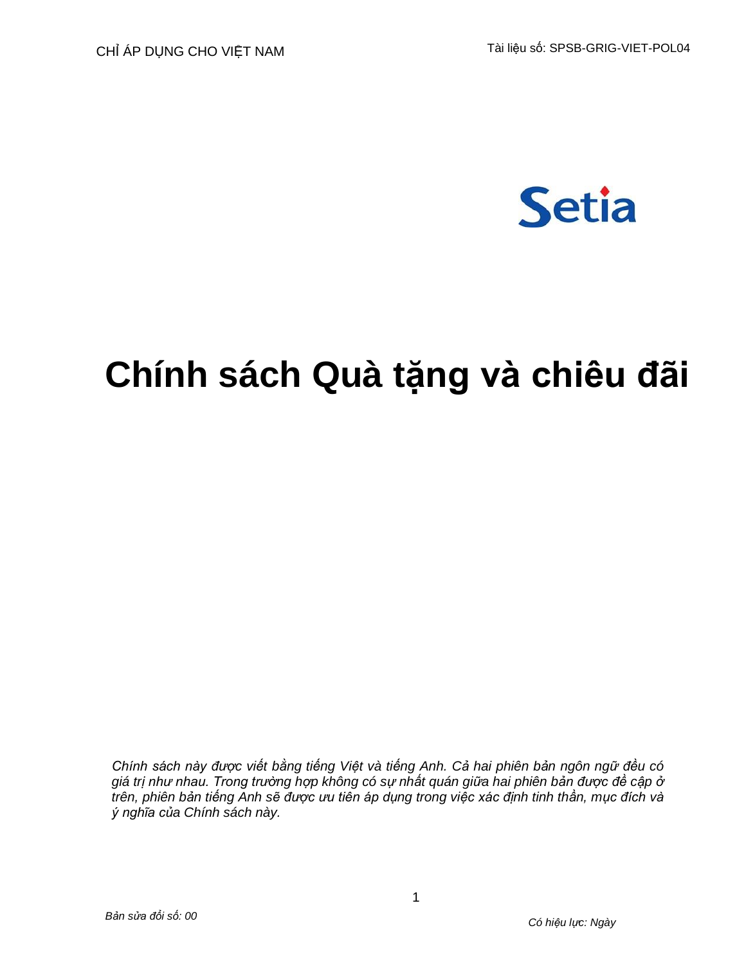

# **Chính sách Quà tặng và chiêu đãi**

*Chính sách này được viết bằng tiếng Việt và tiếng Anh. Cả hai phiên bản ngôn ngữ đều có giá trị như nhau. Trong trường hợp không có sự nhất quán giữa hai phiên bản được đề cập ở trên, phiên bản tiếng Anh sẽ được ưu tiên áp dụng trong việc xác định tinh thần, mục đích và ý nghĩa của Chính sách này.*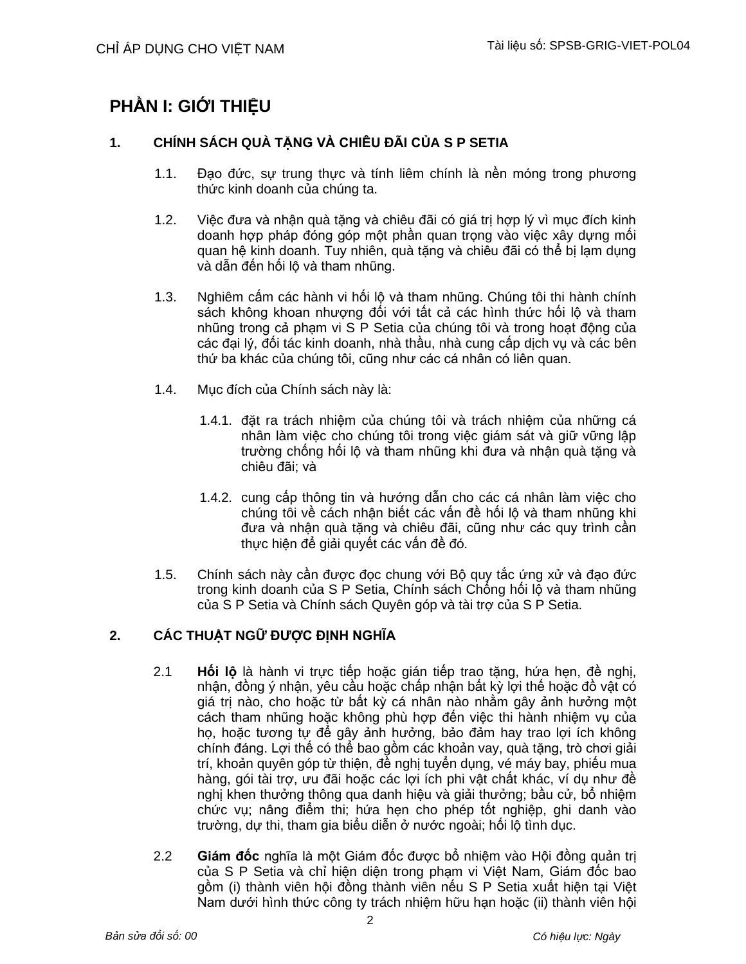# **PHẦN I: GIỚI THIỆU**

## **1. CHÍNH SÁCH QUÀ TẶNG VÀ CHIÊU ĐÃI CỦA S P SETIA**

- 1.1. Đạo đức, sự trung thực và tính liêm chính là nền móng trong phương thức kinh doanh của chúng ta.
- 1.2. Việc đưa và nhận quà tặng và chiêu đãi có giá trị hợp lý vì mục đích kinh doanh hợp pháp đóng góp một phần quan trọng vào việc xây dựng mối quan hệ kinh doanh. Tuy nhiên, quà tặng và chiêu đãi có thể bị lạm dụng và dẫn đến hối lộ và tham nhũng.
- 1.3. Nghiêm cấm các hành vi hối lộ và tham nhũng. Chúng tôi thi hành chính sách không khoan nhượng đối với tất cả các hình thức hối lộ và tham nhũng trong cả phạm vi S P Setia của chúng tôi và trong hoạt động của các đại lý, đối tác kinh doanh, nhà thầu, nhà cung cấp dịch vụ và các bên thứ ba khác của chúng tôi, cũng như các cá nhân có liên quan.
- 1.4. Mục đích của Chính sách này là:
	- 1.4.1. đặt ra trách nhiệm của chúng tôi và trách nhiệm của những cá nhân làm việc cho chúng tôi trong việc giám sát và giữ vững lập trường chống hối lộ và tham nhũng khi đưa và nhận quà tặng và chiêu đãi; và
	- 1.4.2. cung cấp thông tin và hướng dẫn cho các cá nhân làm việc cho chúng tôi về cách nhận biết các vấn đề hối lộ và tham nhũng khi đưa và nhận quà tặng và chiêu đãi, cũng như các quy trình cần thực hiện để giải quyết các vấn đề đó.
- 1.5. Chính sách này cần được đọc chung với Bộ quy tắc ứng xử và đạo đức trong kinh doanh của S P Setia, Chính sách Chống hối lộ và tham nhũng của S P Setia và Chính sách Quyên góp và tài trợ của S P Setia.

## **2. CÁC THUẬT NGỮ ĐƯỢC ĐỊNH NGHĨA**

- 2.1 **Hối lộ** là hành vi trực tiếp hoặc gián tiếp trao tặng, hứa hẹn, đề nghị, nhân, đồng ý nhân, yêu cầu hoặc chấp nhân bất kỳ lợi thế hoặc đồ vật có giá trị nào, cho hoặc từ bất kỳ cá nhân nào nhằm gây ảnh hưởng một cách tham nhũng hoặc không phù hợp đến việc thi hành nhiệm vụ của họ, hoặc tương tự để gây ảnh hưởng, bảo đảm hay trao lợi ích không chính đáng. Lợi thế có thể bao gồm các khoản vay, quà tặng, trò chơi giải trí, khoản quyên góp từ thiện, đề nghị tuyển dụng, vé máy bay, phiếu mua hàng, gói tài trợ, ưu đãi hoặc các lợi ích phi vật chất khác, ví dụ như đề nghị khen thưởng thông qua danh hiệu và giải thưởng; bầu cử, bổ nhiệm chức vụ; nâng điểm thi; hứa hẹn cho phép tốt nghiệp, ghi danh vào trường, dự thi, tham gia biểu diễn ở nước ngoài; hối lộ tình dục.
- 2.2 **Giám đốc** nghĩa là một Giám đốc được bổ nhiệm vào Hội đồng quản trị của S P Setia và chỉ hiện diện trong phạm vi Việt Nam, Giám đốc bao gồm (i) thành viên hội đồng thành viên nếu S P Setia xuất hiện tại Việt Nam dưới hình thức công ty trách nhiệm hữu hạn hoặc (ii) thành viên hội

2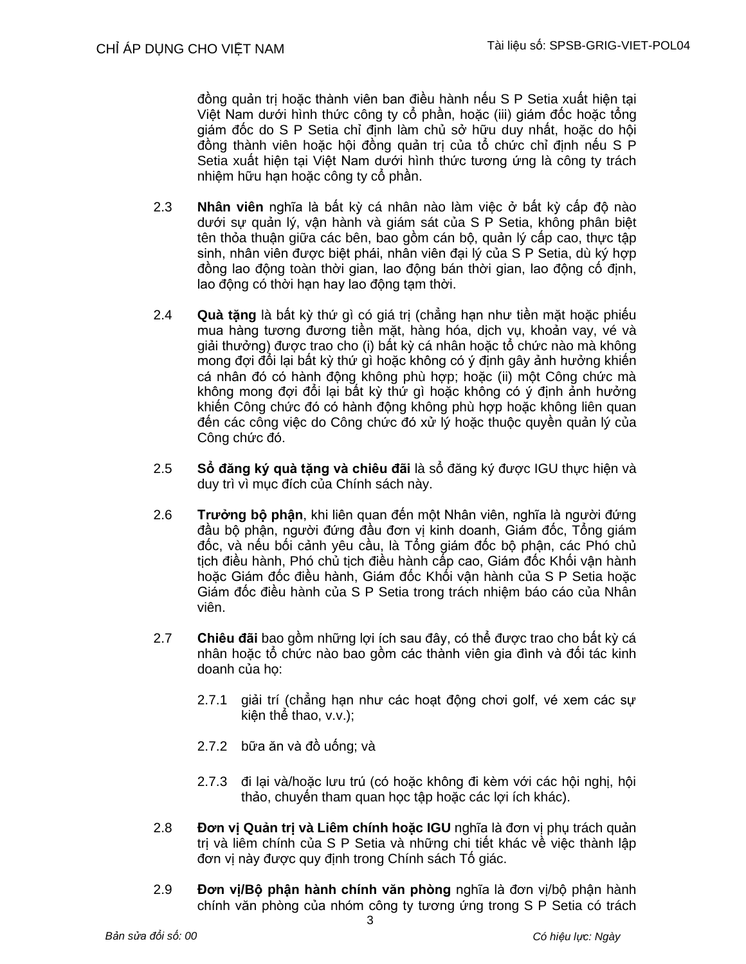đồng quản trị hoặc thành viên ban điều hành nếu S P Setia xuất hiện tại Việt Nam dưới hình thức công ty cổ phần, hoặc (iii) giám đốc hoặc tổng giám đốc do S P Setia chỉ định làm chủ sở hữu duy nhất, hoặc do hội đồng thành viên hoặc hội đồng quản trị của tổ chức chỉ định nếu S P Setia xuất hiện tại Việt Nam dưới hình thức tương ứng là công ty trách nhiệm hữu hạn hoặc công ty cổ phần.

- 2.3 **Nhân viên** nghĩa là bất kỳ cá nhân nào làm việc ở bất kỳ cấp độ nào dưới sự quản lý, vận hành và giám sát của S P Setia, không phân biệt tên thỏa thuận giữa các bên, bao gồm cán bộ, quản lý cấp cao, thực tập sinh, nhân viên được biệt phái, nhân viên đại lý của S P Setia, dù ký hợp đồng lao động toàn thời gian, lao động bán thời gian, lao động cố định, lao động có thời hạn hay lao động tạm thời.
- 2.4 **Quà tặng** là bất kỳ thứ gì có giá trị (chẳng hạn như tiền mặt hoặc phiếu mua hàng tương đương tiền mặt, hàng hóa, dịch vụ, khoản vay, vé và giải thưởng) được trao cho (i) bất kỳ cá nhân hoặc tổ chức nào mà không mong đợi đổi lại bất kỳ thứ gì hoặc không có ý định gây ảnh hưởng khiến cá nhân đó có hành động không phù hợp; hoặc (ii) một Công chức mà không mong đợi đổi lại bất kỳ thứ gì hoặc không có ý định ảnh hưởng khiến Công chức đó có hành động không phù hợp hoặc không liên quan đến các công việc do Công chức đó xử lý hoặc thuộc quyền quản lý của Công chức đó.
- 2.5 **Sổ đăng ký quà tặng và chiêu đãi** là sổ đăng ký được IGU thực hiện và duy trì vì mục đích của Chính sách này.
- 2.6 **Trưởng bộ phận**, khi liên quan đến một Nhân viên, nghĩa là người đứng đầu bộ phận, người đứng đầu đơn vị kinh doanh, Giám đốc, Tổng giám đốc, và nếu bối cảnh yêu cầu, là Tổng giám đốc bộ phận, các Phó chủ tịch điều hành, Phó chủ tịch điều hành cấp cao, Giám đốc Khối vận hành hoặc Giám đốc điều hành, Giám đốc Khối vận hành của S P Setia hoặc Giám đốc điều hành của S P Setia trong trách nhiệm báo cáo của Nhân viên.
- 2.7 **Chiêu đãi** bao gồm những lợi ích sau đây, có thể được trao cho bất kỳ cá nhân hoặc tổ chức nào bao gồm các thành viên gia đình và đối tác kinh doanh của họ:
	- 2.7.1 giải trí (chẳng hạn như các hoạt động chơi golf, vé xem các sự kiện thể thao, v.v.);
	- 2.7.2 bữa ăn và đồ uống; và
	- 2.7.3 đi lại và/hoặc lưu trú (có hoặc không đi kèm với các hội nghị, hội thảo, chuyến tham quan học tập hoặc các lợi ích khác).
- 2.8 **Đơn vị Quản trị và Liêm chính hoặc IGU** nghĩa là đơn vị phụ trách quản trị và liêm chính của S P Setia và những chi tiết khác về việc thành lập đơn vị này được quy định trong Chính sách Tố giác.
- 2.9 **Đơn vị/Bộ phận hành chính văn phòng** nghĩa là đơn vị/bộ phận hành chính văn phòng của nhóm công ty tương ứng trong S P Setia có trách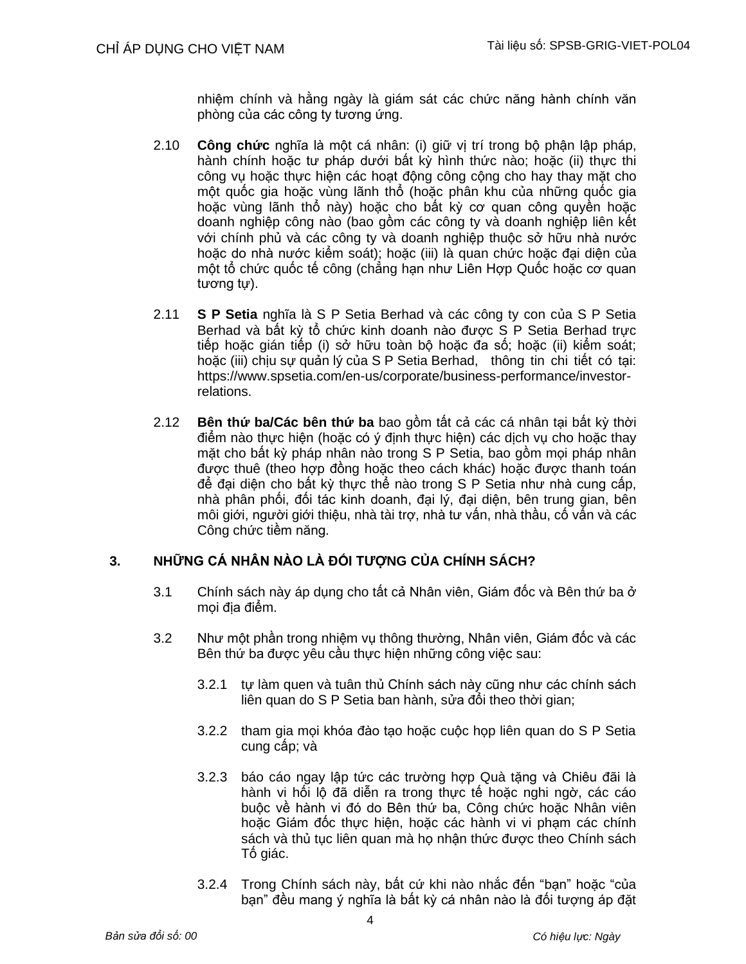nhiệm chính và hằng ngày là giám sát các chức năng hành chính văn phòng của các công ty tương ứng.

- 2.10 **Công chức** nghĩa là một cá nhân: (i) giữ vị trí trong bộ phận lập pháp, hành chính hoặc tư pháp dưới bất kỳ hình thức nào; hoặc (ii) thực thi công vụ hoặc thực hiện các hoạt động công cộng cho hay thay mặt cho một quốc gia hoặc vùng lãnh thổ (hoặc phân khu của những quốc gia hoặc vùng lãnh thổ này) hoặc cho bất kỳ cơ quan công quyền hoặc doanh nghiệp công nào (bao gồm các công ty và doanh nghiệp liên kết với chính phủ và các công ty và doanh nghiệp thuộc sở hữu nhà nước hoặc do nhà nước kiểm soát); hoặc (iii) là quan chức hoặc đại diện của một tổ chức quốc tế công (chẳng hạn như Liên Hợp Quốc hoặc cơ quan tương tự).
- 2.11 **S P Setia** nghĩa là S P Setia Berhad và các công ty con của S P Setia Berhad và bất kỳ tổ chức kinh doanh nào được S P Setia Berhad trực tiếp hoặc gián tiếp (i) sở hữu toàn bộ hoặc đa số; hoặc (ii) kiểm soát; hoặc (iii) chịu sự quản lý của S P Setia Berhad, thông tin chi tiết có tại: https:/[/www.spsetia.com/en-us/corporate/business-performance/investor](http://www.spsetia.com/en-us/corporate/business-performance/investor-)relations.
- 2.12 **Bên thứ ba/Các bên thứ ba** bao gồm tất cả các cá nhân tại bất kỳ thời điểm nào thực hiện (hoặc có ý định thực hiện) các dịch vụ cho hoặc thay mặt cho bất kỳ pháp nhân nào trong S P Setia, bao gồm mọi pháp nhân được thuê (theo hợp đồng hoặc theo cách khác) hoặc được thanh toán để đại diện cho bất kỳ thực thể nào trong S P Setia như nhà cung cấp, nhà phân phối, đối tác kinh doanh, đại lý, đại diện, bên trung gian, bên môi giới, người giới thiệu, nhà tài trợ, nhà tư vấn, nhà thầu, cố vấn và các Công chức tiềm năng.

## **3. NHỮNG CÁ NHÂN NÀO LÀ ĐỐI TƯỢNG CỦA CHÍNH SÁCH?**

- 3.1 Chính sách này áp dụng cho tất cả Nhân viên, Giám đốc và Bên thứ ba ở mọi địa điểm.
- 3.2 Như một phần trong nhiệm vụ thông thường, Nhân viên, Giám đốc và các Bên thứ ba được yêu cầu thực hiện những công việc sau:
	- 3.2.1 tự làm quen và tuân thủ Chính sách này cũng như các chính sách liên quan do S P Setia ban hành, sửa đổi theo thời gian;
	- 3.2.2 tham gia mọi khóa đào tạo hoặc cuộc họp liên quan do S P Setia cung cấp; và
	- 3.2.3 báo cáo ngay lập tức các trường hợp Quà tặng và Chiêu đãi là hành vi hối lộ đã diễn ra trong thực tế hoặc nghi ngờ, các cáo buộc về hành vi đó do Bên thứ ba, Công chức hoặc Nhân viên hoặc Giám đốc thực hiện, hoặc các hành vi vi phạm các chính sách và thủ tục liên quan mà họ nhân thức được theo Chính sách Tố giác.
	- 3.2.4 Trong Chính sách này, bất cứ khi nào nhắc đến "bạn" hoặc "của bạn" đều mang ý nghĩa là bất kỳ cá nhân nào là đối tượng áp đặt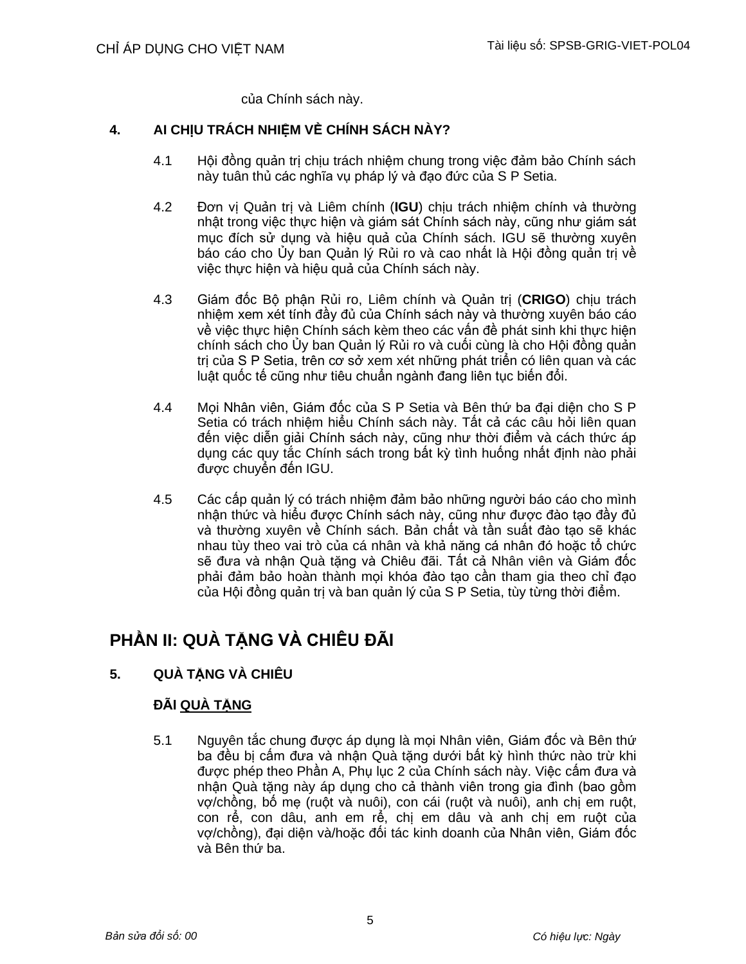của Chính sách này.

## **4. AI CHỊU TRÁCH NHIỆM VỀ CHÍNH SÁCH NÀY?**

- 4.1 Hội đồng quản trị chịu trách nhiệm chung trong việc đảm bảo Chính sách này tuân thủ các nghĩa vụ pháp lý và đạo đức của S P Setia.
- 4.2 Đơn vị Quản trị và Liêm chính (**IGU**) chịu trách nhiệm chính và thường nhật trong việc thực hiện và giám sát Chính sách này, cũng như giám sát mục đích sử dụng và hiệu quả của Chính sách. IGU sẽ thường xuyên báo cáo cho Ủy ban Quản lý Rủi ro và cao nhất là Hội đồng quản trị về việc thực hiện và hiệu quả của Chính sách này.
- 4.3 Giám đốc Bộ phận Rủi ro, Liêm chính và Quản trị (**CRIGO**) chịu trách nhiệm xem xét tính đầy đủ của Chính sách này và thường xuyên báo cáo về việc thực hiện Chính sách kèm theo các vấn đề phát sinh khi thực hiện chính sách cho Ủy ban Quản lý Rủi ro và cuối cùng là cho Hội đồng quản trị của S P Setia, trên cơ sở xem xét những phát triển có liên quan và các luật quốc tế cũng như tiêu chuẩn ngành đang liên tục biến đổi.
- 4.4 Mọi Nhân viên, Giám đốc của S P Setia và Bên thứ ba đại diện cho S P Setia có trách nhiệm hiểu Chính sách này. Tất cả các câu hỏi liên quan đến việc diễn giải Chính sách này, cũng như thời điểm và cách thức áp dụng các quy tắc Chính sách trong bất kỳ tình huống nhất định nào phải được chuyển đến IGU.
- 4.5 Các cấp quản lý có trách nhiệm đảm bảo những người báo cáo cho mình nhận thức và hiểu được Chính sách này, cũng như được đào tạo đầy đủ và thường xuyên về Chính sách. Bản chất và tần suất đào tạo sẽ khác nhau tùy theo vai trò của cá nhân và khả năng cá nhân đó hoặc tổ chức sẽ đưa và nhận Quà tặng và Chiêu đãi. Tất cả Nhân viên và Giám đốc phải đảm bảo hoàn thành mọi khóa đào tạo cần tham gia theo chỉ đạo của Hội đồng quản trị và ban quản lý của S P Setia, tùy từng thời điểm.

## **PHẦN II: QUÀ TẶNG VÀ CHIÊU ĐÃI**

## **5. QUÀ TẶNG VÀ CHIÊU**

## **ĐÃI QUÀ TẶNG**

5.1 Nguyên tắc chung được áp dụng là mọi Nhân viên, Giám đốc và Bên thứ ba đều bị cấm đưa và nhận Quà tặng dưới bất kỳ hình thức nào trừ khi được phép theo Phần A, Phụ lục 2 của Chính sách này. Việc cấm đưa và nhận Quà tặng này áp dụng cho cả thành viên trong gia đình (bao gồm vợ/chồng, bố mẹ (ruột và nuôi), con cái (ruột và nuôi), anh chị em ruột, con rể, con dâu, anh em rể, chị em dâu và anh chị em ruột của vợ/chồng), đại diện và/hoặc đối tác kinh doanh của Nhân viên, Giám đốc và Bên thứ ba.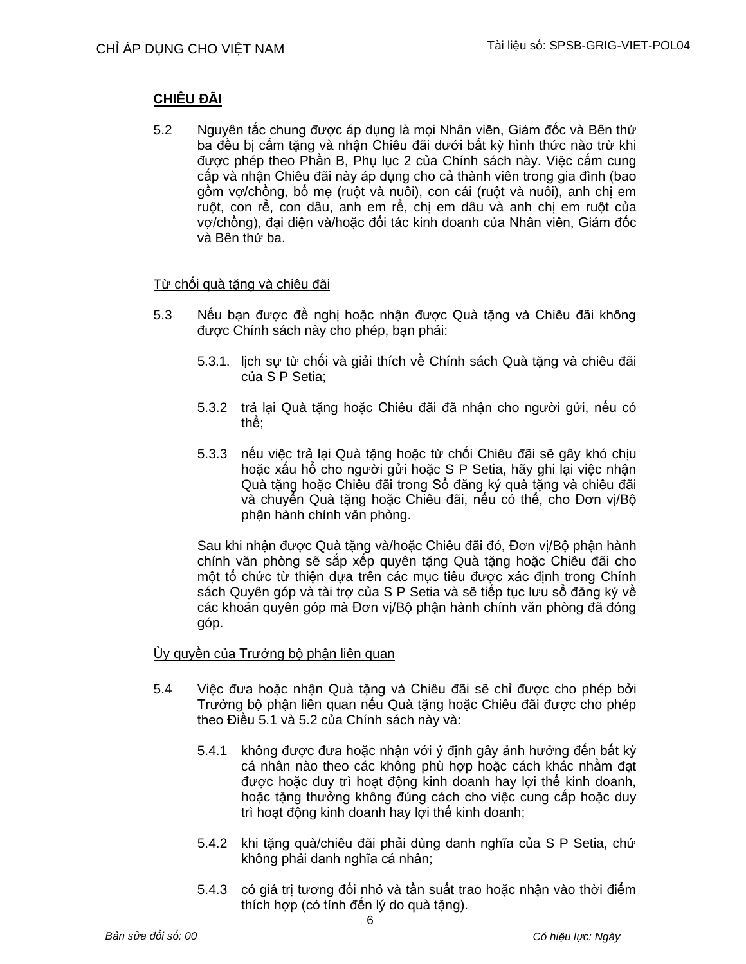## **CHIÊU ĐÃI**

5.2 Nguyên tắc chung được áp dụng là mọi Nhân viên, Giám đốc và Bên thứ ba đều bị cấm tặng và nhận Chiêu đãi dưới bất kỳ hình thức nào trừ khi được phép theo Phần B, Phụ lục 2 của Chính sách này. Việc cấm cung cấp và nhận Chiêu đãi này áp dụng cho cả thành viên trong gia đình (bao gồm vợ/chồng, bố mẹ (ruột và nuôi), con cái (ruột và nuôi), anh chị em ruột, con rể, con dâu, anh em rể, chị em dâu và anh chị em ruột của vợ/chồng), đại diện và/hoặc đối tác kinh doanh của Nhân viên, Giám đốc và Bên thứ ba.

## Từ chối quà tặng và chiêu đãi

- 5.3 Nếu bạn được đề nghị hoặc nhận được Quà tặng và Chiêu đãi không được Chính sách này cho phép, bạn phải:
	- 5.3.1. lịch sự từ chối và giải thích về Chính sách Quà tặng và chiêu đãi của S P Setia;
	- 5.3.2 trả lại Quà tặng hoặc Chiêu đãi đã nhận cho người gửi, nếu có thể;
	- 5.3.3 nếu việc trả lại Quà tặng hoặc từ chối Chiêu đãi sẽ gây khó chịu hoặc xấu hổ cho người gửi hoặc S P Setia, hãy ghi lại việc nhận Quà tặng hoặc Chiêu đãi trong Sổ đăng ký quà tặng và chiêu đãi và chuyển Quà tặng hoặc Chiêu đãi, nếu có thể, cho Đơn vị/Bộ phận hành chính văn phòng.

Sau khi nhận được Quà tặng và/hoặc Chiêu đãi đó, Đơn vị/Bộ phận hành chính văn phòng sẽ sắp xếp quyên tặng Quà tặng hoặc Chiêu đãi cho một tổ chức từ thiện dựa trên các mục tiêu được xác định trong Chính sách Quyên góp và tài trợ của S P Setia và sẽ tiếp tục lưu sổ đăng ký về các khoản quyên góp mà Đơn vị/Bộ phận hành chính văn phòng đã đóng góp.

## Ủy quyền của Trưởng bộ phận liên quan

- 5.4 Việc đưa hoặc nhận Quà tặng và Chiêu đãi sẽ chỉ được cho phép bởi Trưởng bộ phận liên quan nếu Quà tặng hoặc Chiêu đãi được cho phép theo Điều 5.1 và 5.2 của Chính sách này và:
	- 5.4.1 không được đưa hoặc nhận với ý định gây ảnh hưởng đến bất kỳ cá nhân nào theo các không phù hợp hoặc cách khác nhằm đạt được hoặc duy trì hoạt động kinh doanh hay lợi thế kinh doanh, hoặc tặng thưởng không đúng cách cho việc cung cấp hoặc duy trì hoạt động kinh doanh hay lợi thế kinh doanh;
	- 5.4.2 khi tặng quà/chiêu đãi phải dùng danh nghĩa của S P Setia, chứ không phải danh nghĩa cá nhân;
	- 5.4.3 có giá trị tương đối nhỏ và tần suất trao hoặc nhận vào thời điểm thích hợp (có tính đến lý do quà tăng).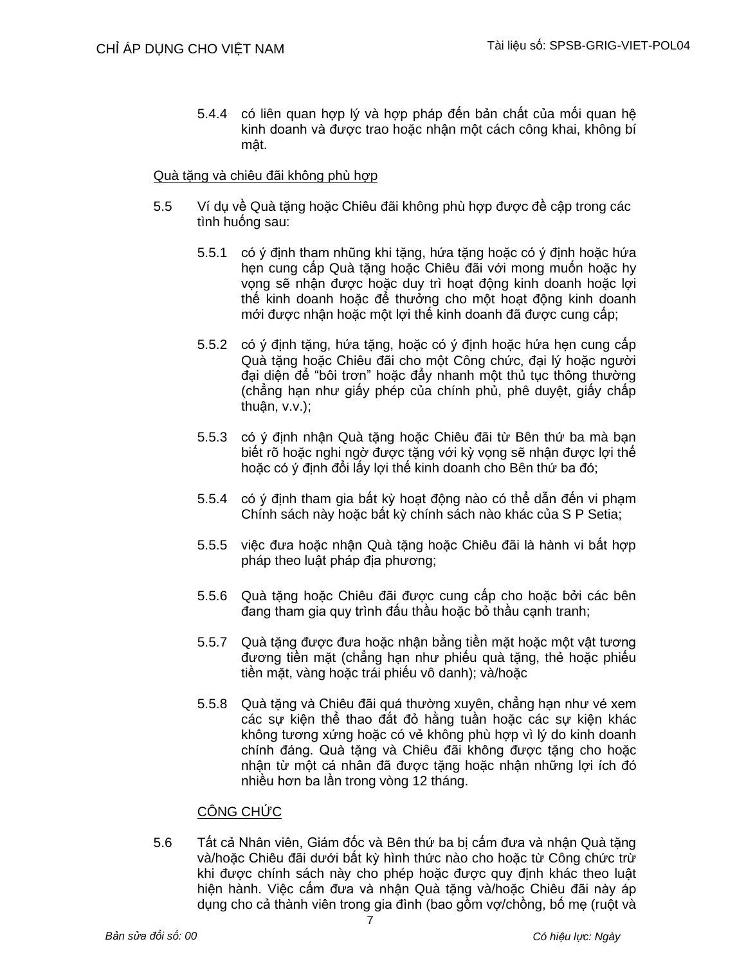5.4.4 có liên quan hợp lý và hợp pháp đến bản chất của mối quan hệ kinh doanh và được trao hoặc nhận một cách công khai, không bí mật.

### Quà tăng và chiêu đãi không phù hợp

- 5.5 Ví dụ về Quà tặng hoặc Chiêu đãi không phù hợp được đề cập trong các tình huống sau:
	- 5.5.1 có ý định tham nhũng khi tặng, hứa tặng hoặc có ý định hoặc hứa hẹn cung cấp Quà tặng hoặc Chiêu đãi với mong muốn hoặc hy vọng sẽ nhận được hoặc duy trì hoạt động kinh doanh hoặc lợi thế kinh doanh hoặc để thưởng cho một hoạt động kinh doanh mới được nhận hoặc một lợi thế kinh doanh đã được cung cấp;
	- 5.5.2 có ý định tặng, hứa tặng, hoặc có ý định hoặc hứa hẹn cung cấp Quà tặng hoặc Chiêu đãi cho một Công chức, đại lý hoặc người đại diện để "bôi trơn" hoặc đẩy nhanh một thủ tục thông thường (chẳng hạn như giấy phép của chính phủ, phê duyệt, giấy chấp thuận, v.v.);
	- 5.5.3 có ý định nhận Quà tặng hoặc Chiêu đãi từ Bên thứ ba mà bạn biết rõ hoặc nghi ngờ được tặng với kỳ vọng sẽ nhận được lợi thế hoặc có ý định đổi lấy lợi thế kinh doanh cho Bên thứ ba đó;
	- 5.5.4 có ý định tham gia bất kỳ hoạt động nào có thể dẫn đến vi phạm Chính sách này hoặc bất kỳ chính sách nào khác của S P Setia;
	- 5.5.5 việc đưa hoặc nhận Quà tặng hoặc Chiêu đãi là hành vi bất hợp pháp theo luật pháp địa phương;
	- 5.5.6 Quà tặng hoặc Chiêu đãi được cung cấp cho hoặc bởi các bên đang tham gia quy trình đấu thầu hoặc bỏ thầu cạnh tranh;
	- 5.5.7 Quà tặng được đưa hoặc nhận bằng tiền mặt hoặc một vật tương đương tiền mặt (chẳng hạn như phiếu quà tặng, thẻ hoặc phiếu tiền mặt, vàng hoặc trái phiếu vô danh); và/hoặc
	- 5.5.8 Quà tặng và Chiêu đãi quá thường xuyên, chẳng hạn như vé xem các sự kiện thể thao đắt đỏ hằng tuần hoặc các sự kiện khác không tương xứng hoặc có vẻ không phù hợp vì lý do kinh doanh chính đáng. Quà tặng và Chiêu đãi không được tặng cho hoặc nhận từ một cá nhân đã được tặng hoặc nhận những lợi ích đó nhiều hơn ba lần trong vòng 12 tháng.

## CÔNG CHỨC

5.6 Tất cả Nhân viên, Giám đốc và Bên thứ ba bị cấm đưa và nhận Quà tặng và/hoặc Chiêu đãi dưới bất kỳ hình thức nào cho hoặc từ Công chức trừ khi được chính sách này cho phép hoặc được quy định khác theo luật hiện hành. Việc cấm đưa và nhận Quà tặng và/hoặc Chiêu đãi này áp dụng cho cả thành viên trong gia đình (bao gồm vợ/chồng, bố mẹ (ruột và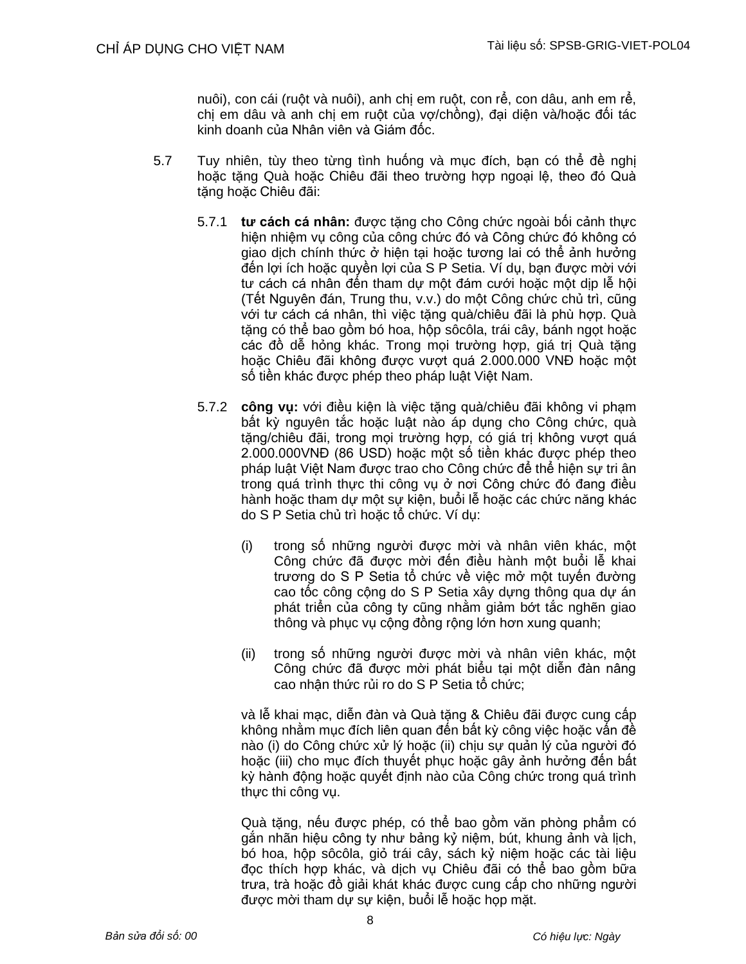nuôi), con cái (ruột và nuôi), anh chị em ruột, con rể, con dâu, anh em rể, chị em dâu và anh chị em ruột của vợ/chồng), đại diện và/hoặc đối tác kinh doanh của Nhân viên và Giám đốc.

- 5.7 Tuy nhiên, tùy theo từng tình huống và mục đích, bạn có thể đề nghị hoặc tặng Quà hoặc Chiêu đãi theo trường hợp ngoại lệ, theo đó Quà tặng hoặc Chiêu đãi:
	- 5.7.1 **tư cách cá nhân:** được tặng cho Công chức ngoài bối cảnh thực hiện nhiệm vụ công của công chức đó và Công chức đó không có giao dịch chính thức ở hiện tại hoặc tương lai có thể ảnh hưởng đến lợi ích hoặc quyền lợi của S P Setia. Ví dụ, bạn được mời với tư cách cá nhân đến tham dự một đám cưới hoặc một dịp lễ hội (Tết Nguyên đán, Trung thu, v.v.) do một Công chức chủ trì, cũng với tư cách cá nhân, thì việc tặng quà/chiêu đãi là phù hợp. Quà tặng có thể bao gồm bó hoa, hộp sôcôla, trái cây, bánh ngọt hoặc các đồ dễ hỏng khác. Trong mọi trường hợp, giá trị Quà tăng hoặc Chiêu đãi không được vượt quá 2.000.000 VNĐ hoặc một số tiền khác được phép theo pháp luật Việt Nam.
	- 5.7.2 **công vụ:** với điều kiện là việc tặng quà/chiêu đãi không vi phạm bất kỳ nguyên tắc hoặc luật nào áp dụng cho Công chức, quà tặng/chiêu đãi, trong mọi trường hợp, có giá trị không vượt quá 2.000.000VNĐ (86 USD) hoặc một số tiền khác được phép theo pháp luật Việt Nam được trao cho Công chức để thể hiện sự tri ân trong quá trình thực thi công vụ ở nơi Công chức đó đang điều hành hoặc tham dự một sự kiện, buổi lễ hoặc các chức năng khác do S P Setia chủ trì hoặc tổ chức. Ví dụ:
		- (i) trong số những người được mời và nhân viên khác, một Công chức đã được mời đến điều hành một buổi lễ khai trương do S P Setia tổ chức về việc mở một tuyến đường cao tốc công cộng do S P Setia xây dựng thông qua dự án phát triển của công ty cũng nhằm giảm bớt tắc nghẽn giao thông và phục vụ cộng đồng rộng lớn hơn xung quanh;
		- (ii) trong số những người được mời và nhân viên khác, một Công chức đã được mời phát biểu tại một diễn đàn nâng cao nhận thức rủi ro do S P Setia tổ chức;

và lễ khai mạc, diễn đàn và Quà tặng & Chiêu đãi được cung cấp không nhằm mục đích liên quan đến bất kỳ công việc hoặc vấn đề nào (i) do Công chức xử lý hoặc (ii) chịu sự quản lý của người đó hoặc (iii) cho mục đích thuyết phục hoặc gây ảnh hưởng đến bất kỳ hành động hoặc quyết định nào của Công chức trong quá trình thực thi công vụ.

Quà tặng, nếu được phép, có thể bao gồm văn phòng phẩm có gắn nhãn hiệu công ty như bảng kỷ niệm, bút, khung ảnh và lịch, bó hoa, hộp sôcôla, giỏ trái cây, sách kỷ niệm hoặc các tài liệu đọc thích hợp khác, và dịch vụ Chiêu đãi có thể bao gồm bữa trưa, trà hoặc đồ giải khát khác được cung cấp cho những người được mời tham dự sự kiện, buổi lễ hoặc họp mặt.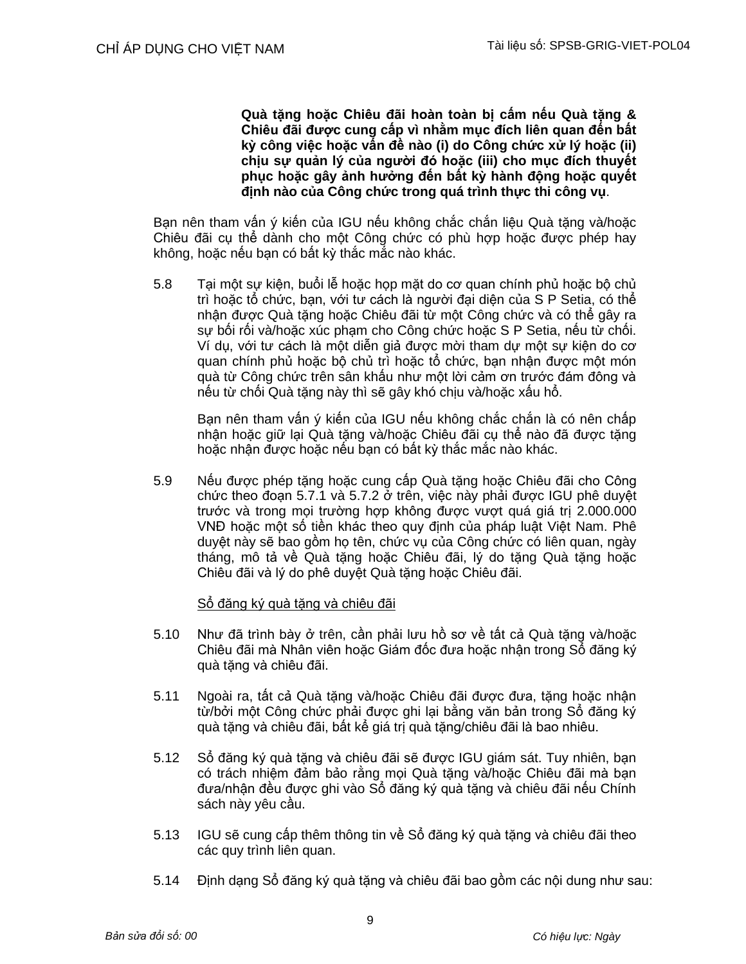**Quà tặng hoặc Chiêu đãi hoàn toàn bị cấm nếu Quà tặng & Chiêu đãi được cung cấp vì nhằm mục đích liên quan đến bất kỳ công việc hoặc vấn đề nào (i) do Công chức xử lý hoặc (ii) chịu sự quản lý của người đó hoặc (iii) cho mục đích thuyết phục hoặc gây ảnh hưởng đến bất kỳ hành động hoặc quyết định nào của Công chức trong quá trình thực thi công vụ**.

Bạn nên tham vấn ý kiến của IGU nếu không chắc chắn liêu Quà tăng và/hoặc Chiêu đãi cụ thể dành cho một Công chức có phù hợp hoặc được phép hay không, hoặc nếu bạn có bất kỳ thắc mắc nào khác.

5.8 Tại một sự kiện, buổi lễ hoặc họp mặt do cơ quan chính phủ hoặc bộ chủ trì hoặc tổ chức, bạn, với tư cách là người đại diện của S P Setia, có thể nhận được Quà tặng hoặc Chiêu đãi từ một Công chức và có thể gây ra sự bối rối và/hoặc xúc phạm cho Công chức hoặc S P Setia, nếu từ chối. Ví dụ, với tư cách là một diễn giả được mời tham dự một sự kiện do cơ quan chính phủ hoặc bộ chủ trì hoặc tổ chức, bạn nhận được một món quà từ Công chức trên sân khấu như một lời cảm ơn trước đám đông và nếu từ chối Quà tặng này thì sẽ gây khó chịu và/hoặc xấu hổ.

Bạn nên tham vấn ý kiến của IGU nếu không chắc chắn là có nên chấp nhận hoặc giữ lại Quà tặng và/hoặc Chiêu đãi cụ thể nào đã được tặng hoặc nhận được hoặc nếu bạn có bất kỳ thắc mắc nào khác.

5.9 Nếu được phép tặng hoặc cung cấp Quà tặng hoặc Chiêu đãi cho Công chức theo đoạn 5.7.1 và 5.7.2 ở trên, việc này phải được IGU phê duyệt trước và trong mọi trường hợp không được vượt quá giá trị 2.000.000 VNĐ hoặc một số tiền khác theo quy định của pháp luật Việt Nam. Phê duyệt này sẽ bao gồm họ tên, chức vụ của Công chức có liên quan, ngày tháng, mô tả về Quà tặng hoặc Chiêu đãi, lý do tặng Quà tặng hoặc Chiêu đãi và lý do phê duyệt Quà tặng hoặc Chiêu đãi.

## Sổ đăng ký quà tăng và chiêu đãi

- 5.10 Như đã trình bày ở trên, cần phải lưu hồ sơ về tất cả Quà tặng và/hoặc Chiêu đãi mà Nhân viên hoặc Giám đốc đưa hoặc nhận trong Sổ đăng ký quà tặng và chiêu đãi.
- 5.11 Ngoài ra, tất cả Quà tặng và/hoặc Chiêu đãi được đưa, tặng hoặc nhận từ/bởi một Công chức phải được ghi lại bằng văn bản trong Sổ đăng ký quà tặng và chiêu đãi, bất kể giá trị quà tặng/chiêu đãi là bao nhiêu.
- 5.12 Sổ đăng ký quà tăng và chiêu đãi sẽ được IGU giám sát. Tuy nhiên, ban có trách nhiệm đảm bảo rằng mọi Quà tặng và/hoặc Chiêu đãi mà bạn đưa/nhận đều được ghi vào Sổ đăng ký quà tặng và chiêu đãi nếu Chính sách này yêu cầu.
- 5.13 IGU sẽ cung cấp thêm thông tin về Sổ đăng ký quà tặng và chiêu đãi theo các quy trình liên quan.
- 5.14 Định dạng Sổ đăng ký quà tặng và chiêu đãi bao gồm các nội dung như sau: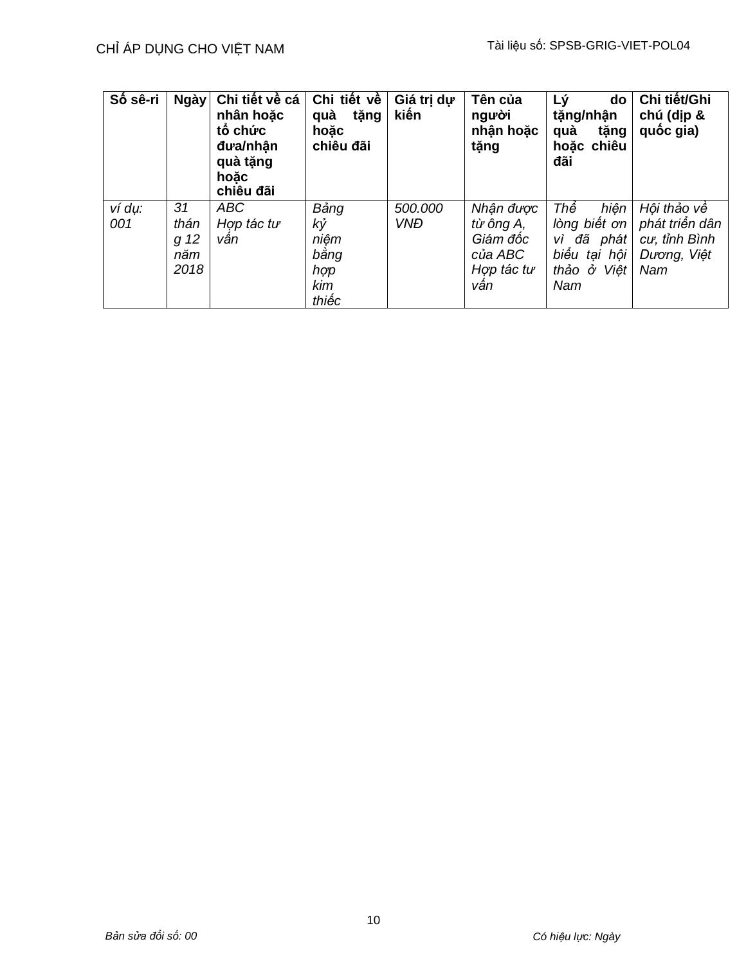| Số sê-ri      | Ngày                              | Chi tiết về cá<br>nhân hoặc<br>tố chức<br>đưa/nhân<br>quà tặng<br>hoăc<br>chiêu đãi | Chi tiết về<br>quà<br>tặng<br>hoăc<br>chiêu đãi   | Giá trị dự<br>kiến    | Tên của<br>người<br>nhận hoặc<br>tặng                              | Lý<br>do<br>tặng/nhận<br>quà<br>tặng<br>hoăc chiêu<br>đãi                             | Chi tiết/Ghi<br>chú (dịp &<br>quốc gia)                              |
|---------------|-----------------------------------|-------------------------------------------------------------------------------------|---------------------------------------------------|-----------------------|--------------------------------------------------------------------|---------------------------------------------------------------------------------------|----------------------------------------------------------------------|
| ví dụ:<br>001 | 31<br>thán<br>g 12<br>năm<br>2018 | <b>ABC</b><br>Hợp tác tư<br>vân                                                     | Bảng<br>kỷ<br>niêm<br>bằng<br>hợp<br>kim<br>thiếc | 500.000<br><b>VNĐ</b> | Nhận được<br>từ ông A,<br>Giám đốc<br>của ABC<br>Hợp tác tư<br>vân | Thế<br>hiên<br>lòng biết ơn<br>đã phát<br>VÌ<br>biểu tại hội<br>Viêt<br>thảo ở<br>Nam | Hội thảo về<br>phát triển dân<br>cu, tỉnh Bình<br>Dương, Việt<br>Nam |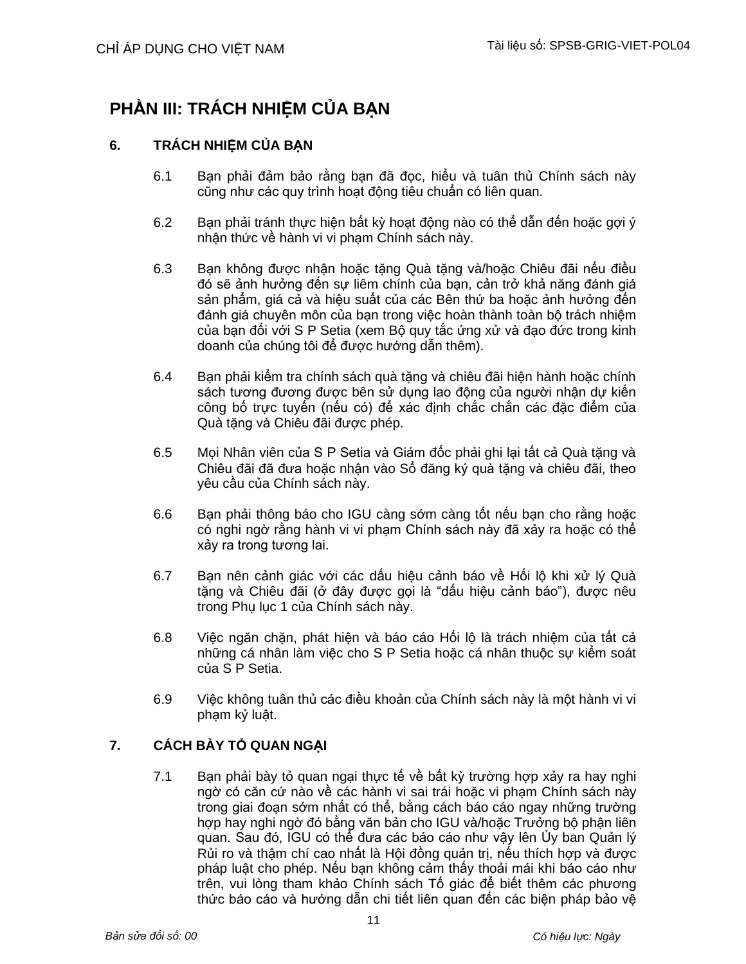## **PHẦN III: TRÁCH NHIỆM CỦA BẠN**

## **6. TRÁCH NHIỆM CỦA BẠN**

- 6.1 Bạn phải đảm bảo rằng bạn đã đọc, hiểu và tuân thủ Chính sách này cũng như các quy trình hoạt động tiêu chuẩn có liên quan.
- 6.2 Ban phải tránh thực hiện bất kỳ hoạt động nào có thể dẫn đến hoặc gợi ý nhận thức về hành vi vi phạm Chính sách này.
- 6.3 Bạn không được nhận hoặc tặng Quà tặng và/hoặc Chiêu đãi nếu điều đó sẽ ảnh hưởng đến sự liêm chính của bạn, cản trở khả năng đánh giá sản phẩm, giá cả và hiệu suất của các Bên thứ ba hoặc ảnh hưởng đến đánh giá chuyên môn của bạn trong việc hoàn thành toàn bộ trách nhiệm của bạn đối với S P Setia (xem Bộ quy tắc ứng xử và đạo đức trong kinh doanh của chúng tôi để được hướng dẫn thêm).
- 6.4 Ban phải kiểm tra chính sách quà tăng và chiêu đãi hiện hành hoặc chính sách tương đương được bên sử dụng lao động của người nhận dự kiến công bố trực tuyến (nếu có) để xác định chắc chắn các đặc điểm của Quà tặng và Chiêu đãi được phép.
- 6.5 Mọi Nhân viên của S P Setia và Giám đốc phải ghi lại tất cả Quà tặng và Chiêu đãi đã đưa hoặc nhận vào Sổ đăng ký quà tặng và chiêu đãi, theo yêu cầu của Chính sách này.
- 6.6 Bạn phải thông báo cho IGU càng sớm càng tốt nếu bạn cho rằng hoặc có nghi ngờ rằng hành vi vi phạm Chính sách này đã xảy ra hoặc có thể xảy ra trong tương lai.
- 6.7 Bạn nên cảnh giác với các dấu hiệu cảnh báo về Hối lộ khi xử lý Quà tặng và Chiêu đãi (ở đây được gọi là "dấu hiệu cảnh báo"), được nêu trong Phụ lục 1 của Chính sách này.
- 6.8 Việc ngăn chặn, phát hiện và báo cáo Hối lộ là trách nhiệm của tất cả những cá nhân làm việc cho S P Setia hoặc cá nhân thuộc sự kiểm soát của S P Setia.
- 6.9 Việc không tuân thủ các điều khoản của Chính sách này là một hành vi vi phạm kỷ luật.

## **7. CÁCH BÀY TỎ QUAN NGẠI**

7.1 Bạn phải bày tỏ quan ngại thực tế về bất kỳ trường hợp xảy ra hay nghi ngờ có căn cứ nào về các hành vi sai trái hoặc vi phạm Chính sách này trong giai đoạn sớm nhất có thể, bằng cách báo cáo ngay những trường hợp hay nghi ngờ đó bằng văn bản cho IGU và/hoặc Trưởng bộ phận liên quan. Sau đó, IGU có thể đưa các báo cáo như vậy lên Ủy ban Quản lý Rủi ro và thậm chí cao nhất là Hội đồng quản trị, nếu thích hợp và được pháp luật cho phép. Nếu bạn không cảm thấy thoải mái khi báo cáo như trên, vui lòng tham khảo Chính sách Tố giác để biết thêm các phương thức báo cáo và hướng dẫn chi tiết liên quan đến các biện pháp bảo vệ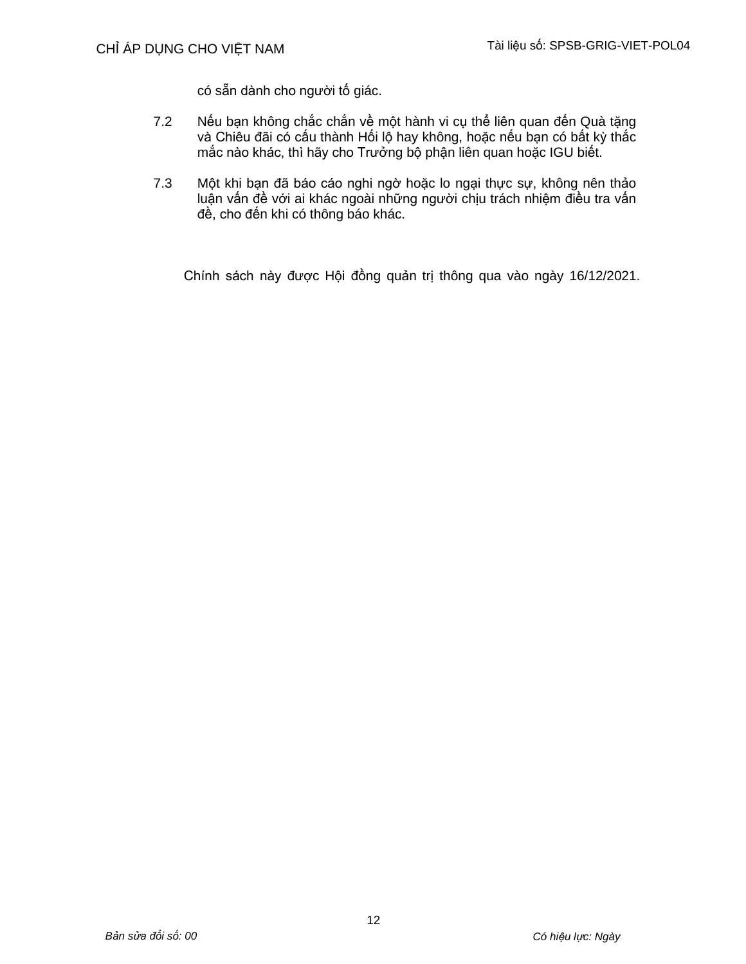có sẵn dành cho người tố giác.

- 7.2 Nếu bạn không chắc chắn về một hành vi cụ thể liên quan đến Quà tặng và Chiêu đãi có cấu thành Hối lộ hay không, hoặc nếu bạn có bất kỳ thắc mắc nào khác, thì hãy cho Trưởng bộ phận liên quan hoặc IGU biết.
- 7.3 Một khi bạn đã báo cáo nghi ngờ hoặc lo ngại thực sự, không nên thảo luận vấn đề với ai khác ngoài những người chịu trách nhiệm điều tra vấn đề, cho đến khi có thông báo khác.

Chính sách này được Hội đồng quản trị thông qua vào ngày 16/12/2021.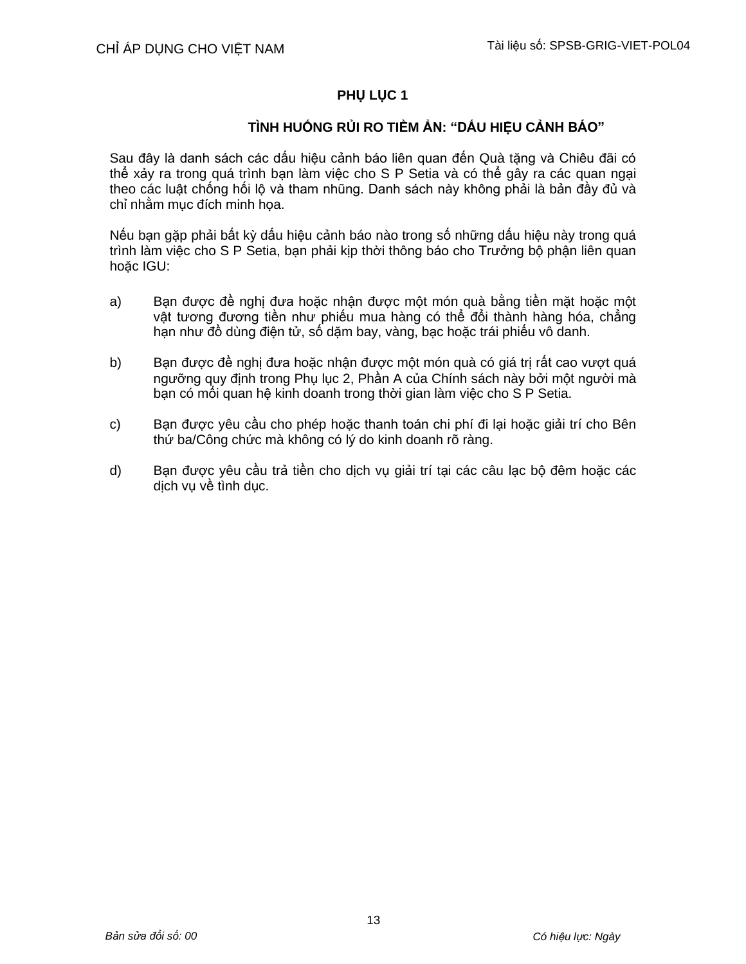## **PHỤ LỤC 1**

## **TÌNH HUỐNG RỦI RO TIỀM ẨN: "DẤU HIỆU CẢNH BÁO"**

Sau đây là danh sách các dấu hiệu cảnh báo liên quan đến Quà tặng và Chiêu đãi có thể xảy ra trong quá trình bạn làm việc cho S P Setia và có thể gây ra các quan ngại theo các luật chống hối lộ và tham nhũng. Danh sách này không phải là bản đầy đủ và chỉ nhằm mục đích minh họa.

Nếu bạn gặp phải bất kỳ dấu hiệu cảnh báo nào trong số những dấu hiệu này trong quá trình làm việc cho S P Setia, bạn phải kịp thời thông báo cho Trưởng bộ phận liên quan hoặc IGU:

- a) Bạn được đề nghị đưa hoặc nhận được một món quà bằng tiền mặt hoặc một vật tương đương tiền như phiếu mua hàng có thể đổi thành hàng hóa, chẳng hạn như đồ dùng điện tử, số dặm bay, vàng, bạc hoặc trái phiếu vô danh.
- b) Bạn được đề nghị đưa hoặc nhận được một món quà có giá trị rất cao vượt quá ngưỡng quy định trong Phụ lục 2, Phần A của Chính sách này bởi một người mà bạn có mối quan hệ kinh doanh trong thời gian làm việc cho S P Setia.
- c) Bạn được yêu cầu cho phép hoặc thanh toán chi phí đi lại hoặc giải trí cho Bên thứ ba/Công chức mà không có lý do kinh doanh rõ ràng.
- d) Bạn được yêu cầu trả tiền cho dịch vụ giải trí tại các câu lạc bộ đêm hoặc các dịch vụ về tình dục.